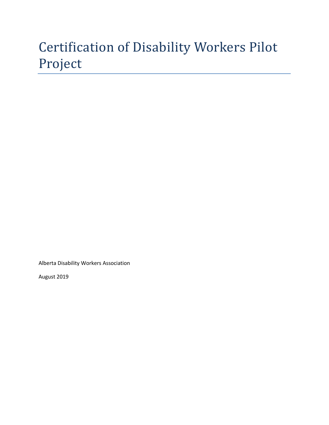# Certification of Disability Workers Pilot Project

Alberta Disability Workers Association

August 2019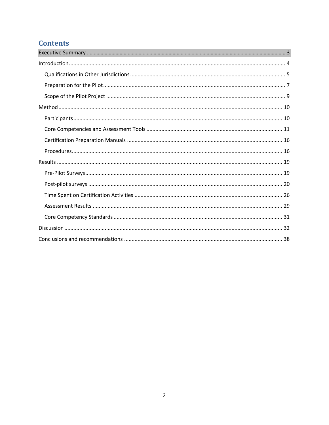# **Contents**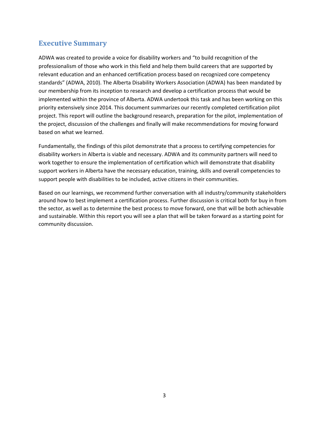# **Executive Summary**

ADWA was created to provide a voice for disability workers and "to build recognition of the professionalism of those who work in this field and help them build careers that are supported by relevant education and an enhanced certification process based on recognized core competency standards" (ADWA, 2010). The Alberta Disability Workers Association (ADWA) has been mandated by our membership from its inception to research and develop a certification process that would be implemented within the province of Alberta. ADWA undertook this task and has been working on this priority extensively since 2014. This document summarizes our recently completed certification pilot project. This report will outline the background research, preparation for the pilot, implementation of the project, discussion of the challenges and finally will make recommendations for moving forward based on what we learned.

Fundamentally, the findings of this pilot demonstrate that a process to certifying competencies for disability workers in Alberta is viable and necessary. ADWA and its community partners will need to work together to ensure the implementation of certification which will demonstrate that disability support workers in Alberta have the necessary education, training, skills and overall competencies to support people with disabilities to be included, active citizens in their communities.

Based on our learnings, we recommend further conversation with all industry/community stakeholders around how to best implement a certification process. Further discussion is critical both for buy in from the sector, as well as to determine the best process to move forward, one that will be both achievable and sustainable. Within this report you will see a plan that will be taken forward as a starting point for community discussion.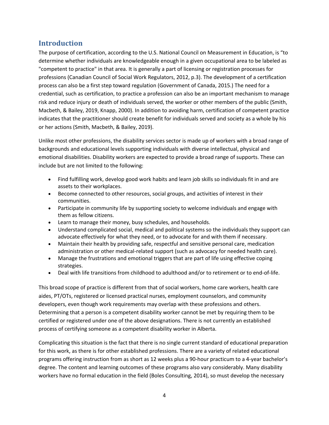# **Introduction**

The purpose of certification, according to the U.S. National Council on Measurement in Education, is "to determine whether individuals are knowledgeable enough in a given occupational area to be labeled as "competent to practice" in that area. It is generally a part of licensing or registration processes for professions (Canadian Council of Social Work Regulators, 2012, p.3). The development of a certification process can also be a first step toward regulation (Government of Canada, 2015.) The need for a credential, such as certification, to practice a profession can also be an important mechanism to manage risk and reduce injury or death of individuals served, the worker or other members of the public (Smith, Macbeth, & Bailey, 2019, Knapp, 2000). In addition to avoiding harm, certification of competent practice indicates that the practitioner should create benefit for individuals served and society as a whole by his or her actions (Smith, Macbeth, & Bailey, 2019).

Unlike most other professions, the disability services sector is made up of workers with a broad range of backgrounds and educational levels supporting individuals with diverse intellectual, physical and emotional disabilities. Disability workers are expected to provide a broad range of supports. These can include but are not limited to the following:

- Find fulfilling work, develop good work habits and learn job skills so individuals fit in and are assets to their workplaces.
- Become connected to other resources, social groups, and activities of interest in their communities.
- Participate in community life by supporting society to welcome individuals and engage with them as fellow citizens.
- Learn to manage their money, busy schedules, and households.
- Understand complicated social, medical and political systems so the individuals they support can advocate effectively for what they need, or to advocate for and with them if necessary.
- Maintain their health by providing safe, respectful and sensitive personal care, medication administration or other medical-related support (such as advocacy for needed health care).
- Manage the frustrations and emotional triggers that are part of life using effective coping strategies.
- Deal with life transitions from childhood to adulthood and/or to retirement or to end-of-life.

This broad scope of practice is different from that of social workers, home care workers, health care aides, PT/OTs, registered or licensed practical nurses, employment counselors, and community developers, even though work requirements may overlap with these professions and others. Determining that a person is a competent disability worker cannot be met by requiring them to be certified or registered under one of the above designations. There is not currently an established process of certifying someone as a competent disability worker in Alberta.

Complicating this situation is the fact that there is no single current standard of educational preparation for this work, as there is for other established professions. There are a variety of related educational programs offering instruction from as short as 12 weeks plus a 90-hour practicum to a 4-year bachelor's degree. The content and learning outcomes of these programs also vary considerably. Many disability workers have no formal education in the field (Boles Consulting, 2014), so must develop the necessary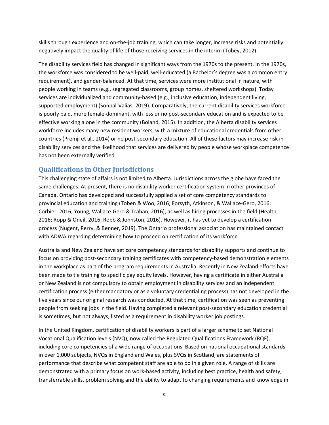skills through experience and on-the-job training, which can take longer, increase risks and potentially negatively impact the quality of life of those receiving services in the interim (Tobey, 2012).

The disability services field has changed in significant ways from the 1970s to the present. In the 1970s, the workforce was considered to be well-paid, well-educated (a Bachelor's degree was a common entry requirement), and gender-balanced. At that time, services were more institutional in nature, with people working in teams (e.g., segregated classrooms, group homes, sheltered workshops). Today services are individualized and community-based (e.g., inclusive education, independent living, supported employment) (Sonpal-Valias, 2019). Comparatively, the current disability services workforce is poorly paid, more female-dominant, with less or no post-secondary education and is expected to be effective working alone in the community (Boland, 2015). In addition, the Alberta disability services workforce includes many new resident workers, with a mixture of educational credentials from other countries (Premji et al., 2014) or no post-secondary education. All of these factors may increase risk in disability services and the likelihood that services are delivered by people whose workplace competence has not been externally verified.

# **Qualifications in Other Jurisdictions**

This challenging state of affairs is not limited to Alberta. Jurisdictions across the globe have faced the same challenges. At present, there is no disability worker certification system in other provinces of Canada. Ontario has developed and successfully applied a set of core competency standards to provincial education and training (Toben & Woo, 2016; Forsyth, Atkinson, & Wallace-Gero, 2016; Corbier, 2016; Young, Wallace-Gero & Trahan, 2016), as well as hiring processes in the field (Health, 2016; Ropp & Oneil, 2016; Robb & Johnston, 2016). However, it has yet to develop a certification process (Nugent, Perry, & Benner, 2019). The Ontario professional association has maintained contact with ADWA regarding determining how to proceed on certification of its workforce.

Australia and New Zealand have set core competency standards for disability supports and continue to focus on providing post-secondary training certificates with competency-based demonstration elements in the workplace as part of the program requirements in Australia. Recently in New Zealand efforts have been made to tie training to specific pay equity levels. However, having a certificate in either Australia or New Zealand is not compulsory to obtain employment in disability services and an independent certification process (either mandatory or as a voluntary credentialing process) has not developed in the five years since our original research was conducted. At that time, certification was seen as preventing people from seeking jobs in the field. Having completed a relevant post-secondary education credential is sometimes, but not always, listed as a requirement in disability worker job postings.

In the United Kingdom, certification of disability workers is part of a larger scheme to set National Vocational Qualification levels (NVQ), now called the Regulated Qualifications Framework (RQF), including core competencies of a wide range of occupations. Based on national occupational standards in over 1,000 subjects, NVQs in England and Wales, plus SVQs in Scotland, are statements of performance that describe what competent staff are able to do in a given role. A range of skills are demonstrated with a primary focus on work-based activity, including best practice, health and safety, transferrable skills, problem solving and the ability to adapt to changing requirements and knowledge in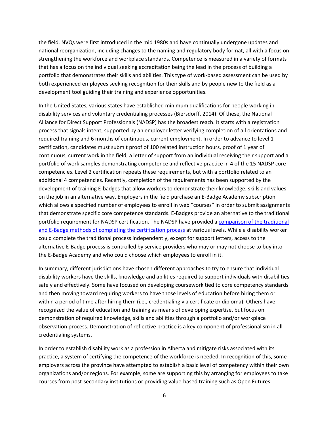the field. NVQs were first introduced in the mid 1980s and have continually undergone updates and national reorganization, including changes to the naming and regulatory body format, all with a focus on strengthening the workforce and workplace standards. Competence is measured in a variety of formats that has a focus on the individual seeking accreditation being the lead in the process of building a portfolio that demonstrates their skills and abilities. This type of work-based assessment can be used by both experienced employees seeking recognition for their skills and by people new to the field as a development tool guiding their training and experience opportunities.

In the United States, various states have established minimum qualifications for people working in disability services and voluntary credentialing processes (Biersdorff, 2014). Of these, the National Alliance for Direct Support Professionals (NADSP) has the broadest reach. It starts with a registration process that signals intent, supported by an employer letter verifying completion of all orientations and required training and 6 months of continuous, current employment. In order to advance to level 1 certification, candidates must submit proof of 100 related instruction hours, proof of 1 year of continuous, current work in the field, a letter of support from an individual receiving their support and a portfolio of work samples demonstrating competence and reflective practice in 4 of the 15 NADSP core competencies. Level 2 certification repeats these requirements, but with a portfolio related to an additional 4 competencies. Recently, completion of the requirements has been supported by the development of training E-badges that allow workers to demonstrate their knowledge, skills and values on the job in an alternative way. Employers in the field purchase an E-Badge Academy subscription which allows a specified number of employees to enroll in web "courses" in order to submit assignments that demonstrate specific core competence standards. E-Badges provide an alternative to the traditional portfolio requirement for NADSP certification. The NADSP have provided a comparison of the traditional and E-Badge methods of completing the certification process at various levels. While a disability worker could complete the traditional process independently, except for support letters, access to the alternative E-Badge process is controlled by service providers who may or may not choose to buy into the E-Badge Academy and who could choose which employees to enroll in it.

In summary, different jurisdictions have chosen different approaches to try to ensure that individual disability workers have the skills, knowledge and abilities required to support individuals with disabilities safely and effectively. Some have focused on developing coursework tied to core competency standards and then moving toward requiring workers to have those levels of education before hiring them or within a period of time after hiring them (i.e., credentialing via certificate or diploma). Others have recognized the value of education and training as means of developing expertise, but focus on demonstration of required knowledge, skills and abilities through a portfolio and/or workplace observation process. Demonstration of reflective practice is a key component of professionalism in all credentialing systems.

In order to establish disability work as a profession in Alberta and mitigate risks associated with its practice, a system of certifying the competence of the workforce is needed. In recognition of this, some employers across the province have attempted to establish a basic level of competency within their own organizations and/or regions. For example, some are supporting this by arranging for employees to take courses from post-secondary institutions or providing value-based training such as Open Futures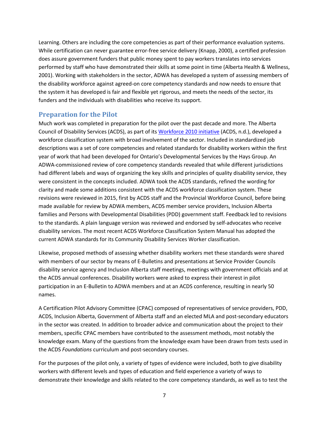Learning. Others are including the core competencies as part of their performance evaluation systems. While certification can never guarantee error-free service delivery (Knapp, 2000), a certified profession does assure government funders that public money spent to pay workers translates into services performed by staff who have demonstrated their skills at some point in time (Alberta Health & Wellness, 2001). Working with stakeholders in the sector, ADWA has developed a system of assessing members of the disability workforce against agreed-on core competency standards and now needs to ensure that the system it has developed is fair and flexible yet rigorous, and meets the needs of the sector, its funders and the individuals with disabilities who receive its support.

## **Preparation for the Pilot**

Much work was completed in preparation for the pilot over the past decade and more. The Alberta Council of Disability Services (ACDS), as part of its Workforce 2010 initiative (ACDS, n.d.), developed a workforce classification system with broad involvement of the sector. Included in standardized job descriptions was a set of core competencies and related standards for disability workers within the first year of work that had been developed for Ontario's Developmental Services by the Hays Group. An ADWA-commissioned review of core competency standards revealed that while different jurisdictions had different labels and ways of organizing the key skills and principles of quality disability service, they were consistent in the concepts included. ADWA took the ACDS standards, refined the wording for clarity and made some additions consistent with the ACDS workforce classification system. These revisions were reviewed in 2015, first by ACDS staff and the Provincial Workforce Council, before being made available for review by ADWA members, ACDS member service providers, Inclusion Alberta families and Persons with Developmental Disabilities (PDD) government staff. Feedback led to revisions to the standards. A plain language version was reviewed and endorsed by self-advocates who receive disability services. The most recent ACDS Workforce Classification System Manual has adopted the current ADWA standards for its Community Disability Services Worker classification.

Likewise, proposed methods of assessing whether disability workers met these standards were shared with members of our sector by means of E-Bulletins and presentations at Service Provider Councils disability service agency and Inclusion Alberta staff meetings, meetings with government officials and at the ACDS annual conferences. Disability workers were asked to express their interest in pilot participation in an E-Bulletin to ADWA members and at an ACDS conference, resulting in nearly 50 names.

A Certification Pilot Advisory Committee (CPAC) composed of representatives of service providers, PDD, ACDS, Inclusion Alberta, Government of Alberta staff and an elected MLA and post-secondary educators in the sector was created. In addition to broader advice and communication about the project to their members, specific CPAC members have contributed to the assessment methods, most notably the knowledge exam. Many of the questions from the knowledge exam have been drawn from tests used in the ACDS *Foundations* curriculum and post-secondary courses.

For the purposes of the pilot only, a variety of types of evidence were included, both to give disability workers with different levels and types of education and field experience a variety of ways to demonstrate their knowledge and skills related to the core competency standards, as well as to test the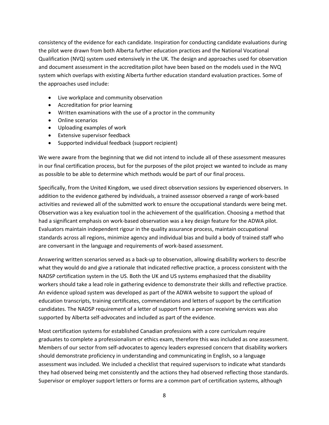consistency of the evidence for each candidate. Inspiration for conducting candidate evaluations during the pilot were drawn from both Alberta further education practices and the National Vocational Qualification (NVQ) system used extensively in the UK. The design and approaches used for observation and document assessment in the accreditation pilot have been based on the models used in the NVQ system which overlaps with existing Alberta further education standard evaluation practices. Some of the approaches used include:

- Live workplace and community observation
- Accreditation for prior learning
- Written examinations with the use of a proctor in the community
- Online scenarios
- Uploading examples of work
- Extensive supervisor feedback
- Supported individual feedback (support recipient)

We were aware from the beginning that we did not intend to include all of these assessment measures in our final certification process, but for the purposes of the pilot project we wanted to include as many as possible to be able to determine which methods would be part of our final process.

Specifically, from the United Kingdom, we used direct observation sessions by experienced observers. In addition to the evidence gathered by individuals, a trained assessor observed a range of work-based activities and reviewed all of the submitted work to ensure the occupational standards were being met. Observation was a key evaluation tool in the achievement of the qualification. Choosing a method that had a significant emphasis on work-based observation was a key design feature for the ADWA pilot. Evaluators maintain independent rigour in the quality assurance process, maintain occupational standards across all regions, minimize agency and individual bias and build a body of trained staff who are conversant in the language and requirements of work-based assessment.

Answering written scenarios served as a back-up to observation, allowing disability workers to describe what they would do and give a rationale that indicated reflective practice, a process consistent with the NADSP certification system in the US. Both the UK and US systems emphasized that the disability workers should take a lead role in gathering evidence to demonstrate their skills and reflective practice. An evidence upload system was developed as part of the ADWA website to support the upload of education transcripts, training certificates, commendations and letters of support by the certification candidates. The NADSP requirement of a letter of support from a person receiving services was also supported by Alberta self-advocates and included as part of the evidence.

Most certification systems for established Canadian professions with a core curriculum require graduates to complete a professionalism or ethics exam, therefore this was included as one assessment. Members of our sector from self-advocates to agency leaders expressed concern that disability workers should demonstrate proficiency in understanding and communicating in English, so a language assessment was included. We included a checklist that required supervisors to indicate what standards they had observed being met consistently and the actions they had observed reflecting those standards. Supervisor or employer support letters or forms are a common part of certification systems, although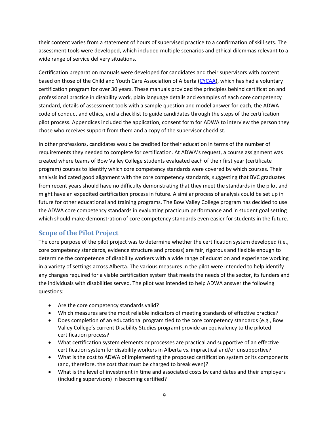their content varies from a statement of hours of supervised practice to a confirmation of skill sets. The assessment tools were developed, which included multiple scenarios and ethical dilemmas relevant to a wide range of service delivery situations.

Certification preparation manuals were developed for candidates and their supervisors with content based on those of the Child and Youth Care Association of Alberta (CYCAA), which has had a voluntary certification program for over 30 years. These manuals provided the principles behind certification and professional practice in disability work, plain language details and examples of each core competency standard, details of assessment tools with a sample question and model answer for each, the ADWA code of conduct and ethics, and a checklist to guide candidates through the steps of the certification pilot process. Appendices included the application, consent form for ADWA to interview the person they chose who receives support from them and a copy of the supervisor checklist.

In other professions, candidates would be credited for their education in terms of the number of requirements they needed to complete for certification. At ADWA's request, a course assignment was created where teams of Bow Valley College students evaluated each of their first year (certificate program) courses to identify which core competency standards were covered by which courses. Their analysis indicated good alignment with the core competency standards, suggesting that BVC graduates from recent years should have no difficulty demonstrating that they meet the standards in the pilot and might have an expedited certification process in future. A similar process of analysis could be set up in future for other educational and training programs. The Bow Valley College program has decided to use the ADWA core competency standards in evaluating practicum performance and in student goal setting which should make demonstration of core competency standards even easier for students in the future.

# **Scope of the Pilot Project**

The core purpose of the pilot project was to determine whether the certification system developed (i.e., core competency standards, evidence structure and process) are fair, rigorous and flexible enough to determine the competence of disability workers with a wide range of education and experience working in a variety of settings across Alberta. The various measures in the pilot were intended to help identify any changes required for a viable certification system that meets the needs of the sector, its funders and the individuals with disabilities served. The pilot was intended to help ADWA answer the following questions:

- Are the core competency standards valid?
- Which measures are the most reliable indicators of meeting standards of effective practice?
- Does completion of an educational program tied to the core competency standards (e.g., Bow Valley College's current Disability Studies program) provide an equivalency to the piloted certification process?
- What certification system elements or processes are practical and supportive of an effective certification system for disability workers in Alberta vs. impractical and/or unsupportive?
- What is the cost to ADWA of implementing the proposed certification system or its components (and, therefore, the cost that must be charged to break even)?
- What is the level of investment in time and associated costs by candidates and their employers (including supervisors) in becoming certified?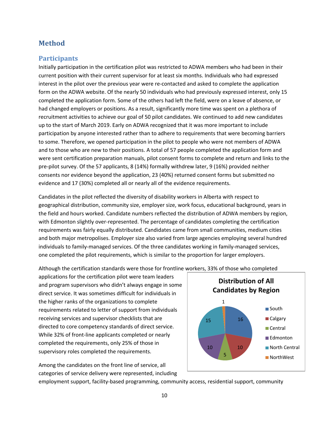# **Method**

## **Participants**

Initially participation in the certification pilot was restricted to ADWA members who had been in their current position with their current supervisor for at least six months. Individuals who had expressed interest in the pilot over the previous year were re-contacted and asked to complete the application form on the ADWA website. Of the nearly 50 individuals who had previously expressed interest, only 15 completed the application form. Some of the others had left the field, were on a leave of absence, or had changed employers or positions. As a result, significantly more time was spent on a plethora of recruitment activities to achieve our goal of 50 pilot candidates. We continued to add new candidates up to the start of March 2019. Early on ADWA recognized that it was more important to include participation by anyone interested rather than to adhere to requirements that were becoming barriers to some. Therefore, we opened participation in the pilot to people who were not members of ADWA and to those who are new to their positions. A total of 57 people completed the application form and were sent certification preparation manuals, pilot consent forms to complete and return and links to the pre-pilot survey. Of the 57 applicants, 8 (14%) formally withdrew later, 9 (16%) provided neither consents nor evidence beyond the application, 23 (40%) returned consent forms but submitted no evidence and 17 (30%) completed all or nearly all of the evidence requirements.

Candidates in the pilot reflected the diversity of disability workers in Alberta with respect to geographical distribution, community size, employer size, work focus, educational background, years in the field and hours worked. Candidate numbers reflected the distribution of ADWA members by region, with Edmonton slightly over-represented. The percentage of candidates completing the certification requirements was fairly equally distributed. Candidates came from small communities, medium cities and both major metropolises. Employer size also varied from large agencies employing several hundred individuals to family-managed services. Of the three candidates working in family-managed services, one completed the pilot requirements, which is similar to the proportion for larger employers.

Although the certification standards were those for frontline workers, 33% of those who completed

applications for the certification pilot were team leaders and program supervisors who didn't always engage in some direct service. It was sometimes difficult for individuals in the higher ranks of the organizations to complete requirements related to letter of support from individuals receiving services and supervisor checklists that are directed to core competency standards of direct service. While 32% of front-line applicants completed or nearly completed the requirements, only 25% of those in supervisory roles completed the requirements.



Among the candidates on the front line of service, all categories of service delivery were represented, including

employment support, facility-based programming, community access, residential support, community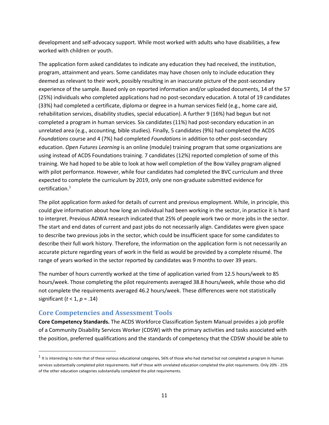development and self-advocacy support. While most worked with adults who have disabilities, a few worked with children or youth.

The application form asked candidates to indicate any education they had received, the institution, program, attainment and years. Some candidates may have chosen only to include education they deemed as relevant to their work, possibly resulting in an inaccurate picture of the post-secondary experience of the sample. Based only on reported information and/or uploaded documents, 14 of the 57 (25%) individuals who completed applications had no post-secondary education. A total of 19 candidates (33%) had completed a certificate, diploma or degree in a human services field (e.g., home care aid, rehabilitation services, disability studies, special education). A further 9 (16%) had begun but not completed a program in human services. Six candidates (11%) had post-secondary education in an unrelated area (e.g., accounting, bible studies). Finally, 5 candidates (9%) had completed the ACDS *Foundations* course and 4 (7%) had completed *Foundations* in addition to other post-secondary education. *Open Futures Learning* is an online (module) training program that some organizations are using instead of ACDS Foundations training. 7 candidates (12%) reported completion of some of this training. We had hoped to be able to look at how well completion of the Bow Valley program aligned with pilot performance. However, while four candidates had completed the BVC curriculum and three expected to complete the curriculum by 2019, only one non-graduate submitted evidence for certification. $1$ 

The pilot application form asked for details of current and previous employment. While, in principle, this could give information about how long an individual had been working in the sector, in practice it is hard to interpret. Previous ADWA research indicated that 25% of people work two or more jobs in the sector. The start and end dates of current and past jobs do not necessarily align. Candidates were given space to describe two previous jobs in the sector, which could be insufficient space for some candidates to describe their full work history. Therefore, the information on the application form is not necessarily an accurate picture regarding years of work in the field as would be provided by a complete résumé. The range of years worked in the sector reported by candidates was 9 months to over 39 years.

The number of hours currently worked at the time of application varied from 12.5 hours/week to 85 hours/week. Those completing the pilot requirements averaged 38.8 hours/week, while those who did not complete the requirements averaged 46.2 hours/week. These differences were not statistically significant (*t* < 1, *p* = .14)

## **Core Competencies and Assessment Tools**

**Core Competency Standards.** The ACDS Workforce Classification System Manual provides a job profile of a Community Disability Services Worker (CDSW) with the primary activities and tasks associated with the position, preferred qualifications and the standards of competency that the CDSW should be able to

 $1$  It is interesting to note that of these various educational categories, 56% of those who had started but not completed a program in human services substantially completed pilot requirements. Half of those with unrelated education completed the pilot requirements. Only 20% - 25% of the other education categories substantially completed the pilot requirements.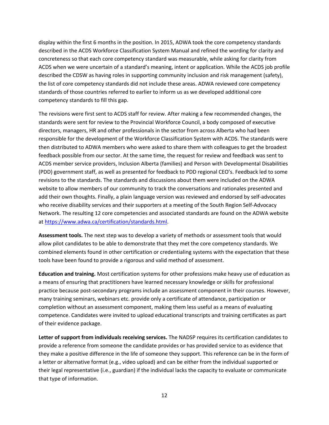display within the first 6 months in the position. In 2015, ADWA took the core competency standards described in the ACDS Workforce Classification System Manual and refined the wording for clarity and concreteness so that each core competency standard was measurable, while asking for clarity from ACDS when we were uncertain of a standard's meaning, intent or application. While the ACDS job profile described the CDSW as having roles in supporting community inclusion and risk management (safety), the list of core competency standards did not include these areas. ADWA reviewed core competency standards of those countries referred to earlier to inform us as we developed additional core competency standards to fill this gap.

The revisions were first sent to ACDS staff for review. After making a few recommended changes, the standards were sent for review to the Provincial Workforce Council, a body composed of executive directors, managers, HR and other professionals in the sector from across Alberta who had been responsible for the development of the Workforce Classification System with ACDS. The standards were then distributed to ADWA members who were asked to share them with colleagues to get the broadest feedback possible from our sector. At the same time, the request for review and feedback was sent to ACDS member service providers, Inclusion Alberta (families) and Person with Developmental Disabilities (PDD) government staff, as well as presented for feedback to PDD regional CEO's. Feedback led to some revisions to the standards. The standards and discussions about them were included on the ADWA website to allow members of our community to track the conversations and rationales presented and add their own thoughts. Finally, a plain language version was reviewed and endorsed by self-advocates who receive disability services and their supporters at a meeting of the South Region Self-Advocacy Network. The resulting 12 core competencies and associated standards are found on the ADWA website at https://www.adwa.ca/certification/standards.html.

**Assessment tools.** The next step was to develop a variety of methods or assessment tools that would allow pilot candidates to be able to demonstrate that they met the core competency standards. We combined elements found in other certification or credentialing systems with the expectation that these tools have been found to provide a rigorous and valid method of assessment.

**Education and training.** Most certification systems for other professions make heavy use of education as a means of ensuring that practitioners have learned necessary knowledge or skills for professional practice because post-secondary programs include an assessment component in their courses. However, many training seminars, webinars etc. provide only a certificate of attendance, participation or completion without an assessment component, making them less useful as a means of evaluating competence. Candidates were invited to upload educational transcripts and training certificates as part of their evidence package.

**Letter of support from individuals receiving services.** The NADSP requires its certification candidates to provide a reference from someone the candidate provides or has provided service to as evidence that they make a positive difference in the life of someone they support. This reference can be in the form of a letter or alternative format (e.g., video upload) and can be either from the individual supported or their legal representative (i.e., guardian) if the individual lacks the capacity to evaluate or communicate that type of information.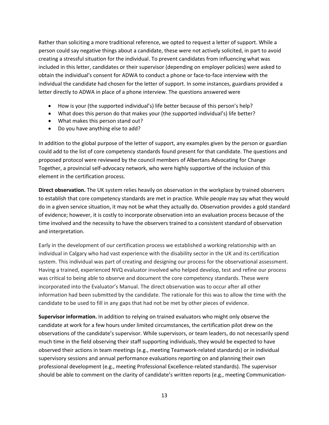Rather than soliciting a more traditional reference, we opted to request a letter of support. While a person could say negative things about a candidate, these were not actively solicited, in part to avoid creating a stressful situation for the individual. To prevent candidates from influencing what was included in this letter, candidates or their supervisor (depending on employer policies) were asked to obtain the individual's consent for ADWA to conduct a phone or face-to-face interview with the individual the candidate had chosen for the letter of support. In some instances, guardians provided a letter directly to ADWA in place of a phone interview. The questions answered were

- How is your (the supported individual's) life better because of this person's help?
- What does this person do that makes your (the supported individual's) life better?
- What makes this person stand out?
- Do you have anything else to add?

In addition to the global purpose of the letter of support, any examples given by the person or guardian could add to the list of core competency standards found present for that candidate. The questions and proposed protocol were reviewed by the council members of Albertans Advocating for Change Together, a provincial self-advocacy network, who were highly supportive of the inclusion of this element in the certification process.

**Direct observation.** The UK system relies heavily on observation in the workplace by trained observers to establish that core competency standards are met in practice. While people may say what they would do in a given service situation, it may not be what they actually do. Observation provides a gold standard of evidence; however, it is costly to incorporate observation into an evaluation process because of the time involved and the necessity to have the observers trained to a consistent standard of observation and interpretation.

Early in the development of our certification process we established a working relationship with an individual in Calgary who had vast experience with the disability sector in the UK and its certification system. This individual was part of creating and designing our process for the observational assessment. Having a trained, experienced NVQ evaluator involved who helped develop, test and refine our process was critical to being able to observe and document the core competency standards. These were incorporated into the Evaluator's Manual. The direct observation was to occur after all other information had been submitted by the candidate. The rationale for this was to allow the time with the candidate to be used to fill in any gaps that had not be met by other pieces of evidence.

**Supervisor information.** In addition to relying on trained evaluators who might only observe the candidate at work for a few hours under limited circumstances, the certification pilot drew on the observations of the candidate's supervisor. While supervisors, or team leaders, do not necessarily spend much time in the field observing their staff supporting individuals, they would be expected to have observed their actions in team meetings (e.g., meeting Teamwork-related standards) or in individual supervisory sessions and annual performance evaluations reporting on and planning their own professional development (e.g., meeting Professional Excellence-related standards). The supervisor should be able to comment on the clarity of candidate's written reports (e.g., meeting Communication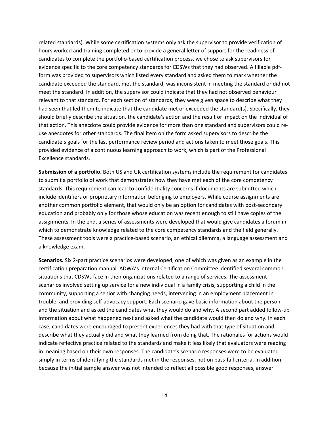related standards). While some certification systems only ask the supervisor to provide verification of hours worked and training completed or to provide a general letter of support for the readiness of candidates to complete the portfolio-based certification process, we chose to ask supervisors for evidence specific to the core competency standards for CDSWs that they had observed. A fillable pdfform was provided to supervisors which listed every standard and asked them to mark whether the candidate exceeded the standard, met the standard, was inconsistent in meeting the standard or did not meet the standard. In addition, the supervisor could indicate that they had not observed behaviour relevant to that standard. For each section of standards, they were given space to describe what they had seen that led them to indicate that the candidate met or exceeded the standard(s). Specifically, they should briefly describe the situation, the candidate's action and the result or impact on the individual of that action. This anecdote could provide evidence for more than one standard and supervisors could reuse anecdotes for other standards. The final item on the form asked supervisors to describe the candidate's goals for the last performance review period and actions taken to meet those goals. This provided evidence of a continuous learning approach to work, which is part of the Professional Excellence standards.

**Submission of a portfolio.** Both US and UK certification systems include the requirement for candidates to submit a portfolio of work that demonstrates how they have met each of the core competency standards. This requirement can lead to confidentiality concerns if documents are submitted which include identifiers or proprietary information belonging to employers. While course assignments are another common portfolio element, that would only be an option for candidates with post-secondary education and probably only for those whose education was recent enough to still have copies of the assignments. In the end, a series of assessments were developed that would give candidates a forum in which to demonstrate knowledge related to the core competency standards and the field generally. These assessment tools were a practice-based scenario, an ethical dilemma, a language assessment and a knowledge exam.

**Scenarios.** Six 2-part practice scenarios were developed, one of which was given as an example in the certification preparation manual. ADWA's internal Certification Committee identified several common situations that CDSWs face in their organizations related to a range of services. The assessment scenarios involved setting up service for a new individual in a family crisis, supporting a child in the community, supporting a senior with changing needs, intervening in an employment placement in trouble, and providing self-advocacy support. Each scenario gave basic information about the person and the situation and asked the candidates what they would do and why. A second part added follow-up information about what happened next and asked what the candidate would then do and why. In each case, candidates were encouraged to present experiences they had with that type of situation and describe what they actually did and what they learned from doing that. The rationales for actions would indicate reflective practice related to the standards and make it less likely that evaluators were reading in meaning based on their own responses. The candidate's scenario responses were to be evaluated simply in terms of identifying the standards met in the responses, not on pass-fail criteria. In addition, because the initial sample answer was not intended to reflect all possible good responses, answer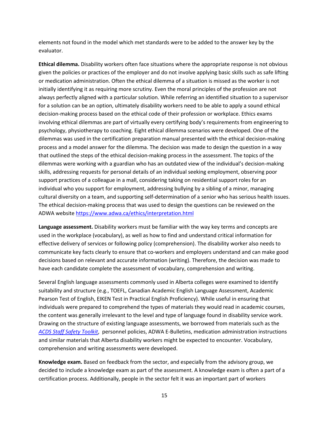elements not found in the model which met standards were to be added to the answer key by the evaluator.

**Ethical dilemma.** Disability workers often face situations where the appropriate response is not obvious given the policies or practices of the employer and do not involve applying basic skills such as safe lifting or medication administration. Often the ethical dilemma of a situation is missed as the worker is not initially identifying it as requiring more scrutiny. Even the moral principles of the profession are not always perfectly aligned with a particular solution. While referring an identified situation to a supervisor for a solution can be an option, ultimately disability workers need to be able to apply a sound ethical decision-making process based on the ethical code of their profession or workplace. Ethics exams involving ethical dilemmas are part of virtually every certifying body's requirements from engineering to psychology, physiotherapy to coaching. Eight ethical dilemma scenarios were developed. One of the dilemmas was used in the certification preparation manual presented with the ethical decision-making process and a model answer for the dilemma. The decision was made to design the question in a way that outlined the steps of the ethical decision-making process in the assessment. The topics of the dilemmas were working with a guardian who has an outdated view of the individual's decision-making skills, addressing requests for personal details of an individual seeking employment, observing poor support practices of a colleague in a mall, considering taking on residential support roles for an individual who you support for employment, addressing bullying by a sibling of a minor, managing cultural diversity on a team, and supporting self-determination of a senior who has serious health issues. The ethical decision-making process that was used to design the questions can be reviewed on the ADWA website https://www.adwa.ca/ethics/interpretation.html

**Language assessment.** Disability workers must be familiar with the way key terms and concepts are used in the workplace (vocabulary), as well as how to find and understand critical information for effective delivery of services or following policy (comprehension). The disability worker also needs to communicate key facts clearly to ensure that co-workers and employers understand and can make good decisions based on relevant and accurate information (writing). Therefore, the decision was made to have each candidate complete the assessment of vocabulary, comprehension and writing.

Several English language assessments commonly used in Alberta colleges were examined to identify suitability and structure (e.g., TOEFL, Canadian Academic English Language Assessment, Academic Pearson Test of English, EIKEN Test in Practical English Proficiency). While useful in ensuring that individuals were prepared to comprehend the types of materials they would read in academic courses, the content was generally irrelevant to the level and type of language found in disability service work. Drawing on the structure of existing language assessments, we borrowed from materials such as the *ACDS Staff Safety Toolkit*, personnel policies, ADWA E-Bulletins, medication administration instructions and similar materials that Alberta disability workers might be expected to encounter. Vocabulary, comprehension and writing assessments were developed.

**Knowledge exam.** Based on feedback from the sector, and especially from the advisory group, we decided to include a knowledge exam as part of the assessment. A knowledge exam is often a part of a certification process. Additionally, people in the sector felt it was an important part of workers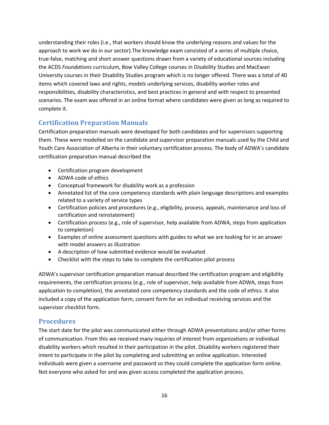understanding their roles (i.e., that workers should know the underlying reasons and values for the approach to work we do in our sector).The knowledge exam consisted of a series of multiple choice, true-false, matching and short answer questions drawn from a variety of educational sources including the ACDS *Foundations* curriculum, Bow Valley College courses in Disability Studies and MacEwan University courses in their Disability Studies program which is no longer offered. There was a total of 40 items which covered laws and rights, models underlying services, disability worker roles and responsibilities, disability characteristics, and best practices in general and with respect to presented scenarios. The exam was offered in an online format where candidates were given as long as required to complete it.

# **Certification Preparation Manuals**

Certification preparation manuals were developed for both candidates and for supervisors supporting them. These were modelled on the candidate and supervisor preparation manuals used by the Child and Youth Care Association of Alberta in their voluntary certification process. The body of ADWA's candidate certification preparation manual described the

- Certification program development
- ADWA code of ethics
- Conceptual framework for disability work as a profession
- Annotated list of the core competency standards with plain language descriptions and examples related to a variety of service types
- Certification policies and procedures (e.g., eligibility, process, appeals, maintenance and loss of certification and reinstatement)
- Certification process (e.g., role of supervisor, help available from ADWA, steps from application to completion)
- Examples of online assessment questions with guides to what we are looking for in an answer with model answers as illustration
- A description of how submitted evidence would be evaluated
- Checklist with the steps to take to complete the certification pilot process

ADWA's supervisor certification preparation manual described the certification program and eligibility requirements, the certification process (e.g., role of supervisor, help available from ADWA, steps from application to completion), the annotated core competency standards and the code of ethics. It also included a copy of the application form, consent form for an individual receiving services and the supervisor checklist form.

# **Procedures**

The start date for the pilot was communicated either through ADWA presentations and/or other forms of communication. From this we received many inquiries of interest from organizations or individual disability workers which resulted in their participation in the pilot. Disability workers registered their intent to participate in the pilot by completing and submitting an online application. Interested individuals were given a username and password so they could complete the application form online. Not everyone who asked for and was given access completed the application process.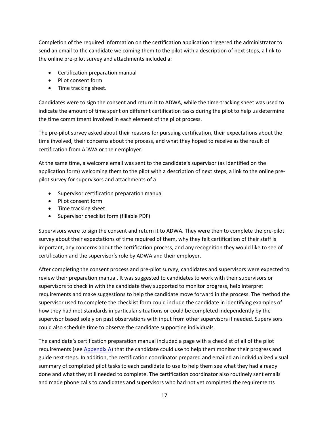Completion of the required information on the certification application triggered the administrator to send an email to the candidate welcoming them to the pilot with a description of next steps, a link to the online pre-pilot survey and attachments included a:

- Certification preparation manual
- Pilot consent form
- Time tracking sheet.

Candidates were to sign the consent and return it to ADWA, while the time-tracking sheet was used to indicate the amount of time spent on different certification tasks during the pilot to help us determine the time commitment involved in each element of the pilot process.

The pre-pilot survey asked about their reasons for pursuing certification, their expectations about the time involved, their concerns about the process, and what they hoped to receive as the result of certification from ADWA or their employer.

At the same time, a welcome email was sent to the candidate's supervisor (as identified on the application form) welcoming them to the pilot with a description of next steps, a link to the online prepilot survey for supervisors and attachments of a

- Supervisor certification preparation manual
- Pilot consent form
- Time tracking sheet
- Supervisor checklist form (fillable PDF)

Supervisors were to sign the consent and return it to ADWA. They were then to complete the pre-pilot survey about their expectations of time required of them, why they felt certification of their staff is important, any concerns about the certification process, and any recognition they would like to see of certification and the supervisor's role by ADWA and their employer.

After completing the consent process and pre-pilot survey, candidates and supervisors were expected to review their preparation manual. It was suggested to candidates to work with their supervisors or supervisors to check in with the candidate they supported to monitor progress, help interpret requirements and make suggestions to help the candidate move forward in the process. The method the supervisor used to complete the checklist form could include the candidate in identifying examples of how they had met standards in particular situations or could be completed independently by the supervisor based solely on past observations with input from other supervisors if needed. Supervisors could also schedule time to observe the candidate supporting individuals.

The candidate's certification preparation manual included a page with a checklist of all of the pilot requirements (see Appendix A) that the candidate could use to help them monitor their progress and guide next steps. In addition, the certification coordinator prepared and emailed an individualized visual summary of completed pilot tasks to each candidate to use to help them see what they had already done and what they still needed to complete. The certification coordinator also routinely sent emails and made phone calls to candidates and supervisors who had not yet completed the requirements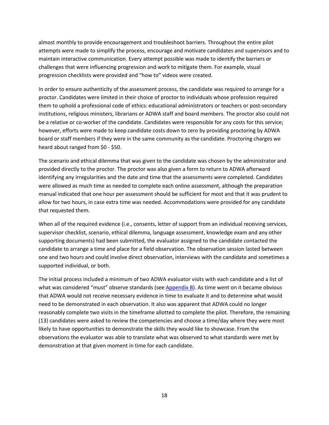almost monthly to provide encouragement and troubleshoot barriers. Throughout the entire pilot attempts were made to simplify the process, encourage and motivate candidates and supervisors and to maintain interactive communication. Every attempt possible was made to identify the barriers or challenges that were influencing progression and work to mitigate them. For example, visual progression checklists were provided and "how to" videos were created.

In order to ensure authenticity of the assessment process, the candidate was required to arrange for a proctor. Candidates were limited in their choice of proctor to individuals whose profession required them to uphold a professional code of ethics: educational administrators or teachers or post-secondary institutions, religious ministers, librarians or ADWA staff and board members. The proctor also could not be a relative or co-worker of the candidate. Candidates were responsible for any costs for this service; however, efforts were made to keep candidate costs down to zero by providing proctoring by ADWA board or staff members if they were in the same community as the candidate. Proctoring charges we heard about ranged from \$0 - \$50.

The scenario and ethical dilemma that was given to the candidate was chosen by the administrator and provided directly to the proctor. The proctor was also given a form to return to ADWA afterward identifying any irregularities and the date and time that the assessments were completed. Candidates were allowed as much time as needed to complete each online assessment, although the preparation manual indicated that one hour per assessment should be sufficient for most and that it was prudent to allow for two hours, in case extra time was needed. Accommodations were provided for any candidate that requested them.

When all of the required evidence (i.e., consents, letter of support from an individual receiving services, supervisor checklist, scenario, ethical dilemma, language assessment, knowledge exam and any other supporting documents) had been submitted, the evaluator assigned to the candidate contacted the candidate to arrange a time and place for a field observation. The observation session lasted between one and two hours and could involve direct observation, interviews with the candidate and sometimes a supported individual, or both.

The initial process included a minimum of two ADWA evaluator visits with each candidate and a list of what was considered "must" observe standards (see Appendix B). As time went on it became obvious that ADWA would not receive necessary evidence in time to evaluate it and to determine what would need to be demonstrated in each observation. It also was apparent that ADWA could no longer reasonably complete two visits in the timeframe allotted to complete the pilot. Therefore, the remaining (13) candidates were asked to review the competencies and choose a time/day where they were most likely to have opportunities to demonstrate the skills they would like to showcase. From the observations the evaluator was able to translate what was observed to what standards were met by demonstration at that given moment in time for each candidate.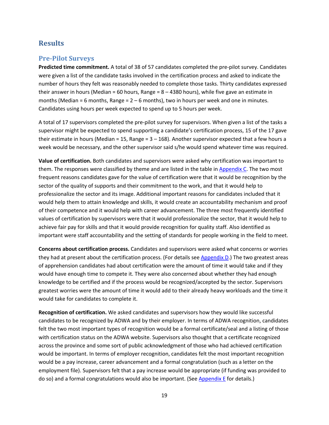# **Results**

## **Pre-Pilot Surveys**

**Predicted time commitment.** A total of 38 of 57 candidates completed the pre-pilot survey. Candidates were given a list of the candidate tasks involved in the certification process and asked to indicate the number of hours they felt was reasonably needed to complete those tasks. Thirty candidates expressed their answer in hours (Median = 60 hours, Range =  $8 - 4380$  hours), while five gave an estimate in months (Median = 6 months, Range =  $2 - 6$  months), two in hours per week and one in minutes. Candidates using hours per week expected to spend up to 5 hours per week.

A total of 17 supervisors completed the pre-pilot survey for supervisors. When given a list of the tasks a supervisor might be expected to spend supporting a candidate's certification process, 15 of the 17 gave their estimate in hours (Median = 15, Range =  $3 - 168$ ). Another supervisor expected that a few hours a week would be necessary, and the other supervisor said s/he would spend whatever time was required.

**Value of certification.** Both candidates and supervisors were asked why certification was important to them. The responses were classified by theme and are listed in the table in Appendix C. The two most frequent reasons candidates gave for the value of certification were that it would be recognition by the sector of the quality of supports and their commitment to the work, and that it would help to professionalize the sector and its image. Additional important reasons for candidates included that it would help them to attain knowledge and skills, it would create an accountability mechanism and proof of their competence and it would help with career advancement. The three most frequently identified values of certification by supervisors were that it would professionalize the sector, that it would help to achieve fair pay for skills and that it would provide recognition for quality staff. Also identified as important were staff accountability and the setting of standards for people working in the field to meet.

**Concerns about certification process.** Candidates and supervisors were asked what concerns or worries they had at present about the certification process. (For details see Appendix D.) The two greatest areas of apprehension candidates had about certification were the amount of time it would take and if they would have enough time to compete it. They were also concerned about whether they had enough knowledge to be certified and if the process would be recognized/accepted by the sector. Supervisors greatest worries were the amount of time it would add to their already heavy workloads and the time it would take for candidates to complete it.

**Recognition of certification.** We asked candidates and supervisors how they would like successful candidates to be recognized by ADWA and by their employer. In terms of ADWA recognition, candidates felt the two most important types of recognition would be a formal certificate/seal and a listing of those with certification status on the ADWA website. Supervisors also thought that a certificate recognized across the province and some sort of public acknowledgment of those who had achieved certification would be important. In terms of employer recognition, candidates felt the most important recognition would be a pay increase, career advancement and a formal congratulation (such as a letter on the employment file). Supervisors felt that a pay increase would be appropriate (if funding was provided to do so) and a formal congratulations would also be important. (See Appendix E for details.)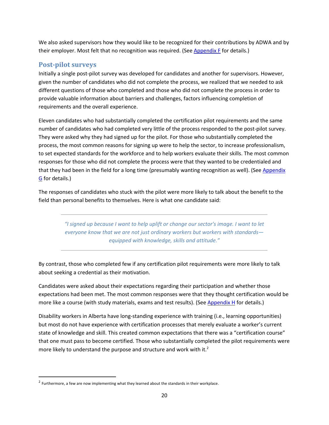We also asked supervisors how they would like to be recognized for their contributions by ADWA and by their employer. Most felt that no recognition was required. (See Appendix F for details.)

# **Post-pilot surveys**

Initially a single post-pilot survey was developed for candidates and another for supervisors. However, given the number of candidates who did not complete the process, we realized that we needed to ask different questions of those who completed and those who did not complete the process in order to provide valuable information about barriers and challenges, factors influencing completion of requirements and the overall experience.

Eleven candidates who had substantially completed the certification pilot requirements and the same number of candidates who had completed very little of the process responded to the post-pilot survey. They were asked why they had signed up for the pilot. For those who substantially completed the process, the most common reasons for signing up were to help the sector, to increase professionalism, to set expected standards for the workforce and to help workers evaluate their skills. The most common responses for those who did not complete the process were that they wanted to be credentialed and that they had been in the field for a long time (presumably wanting recognition as well). (See Appendix G for details.)

The responses of candidates who stuck with the pilot were more likely to talk about the benefit to the field than personal benefits to themselves. Here is what one candidate said:

> *"I signed up because I want to help uplift or change our sector's image. I want to let everyone know that we are not just ordinary workers but workers with standards equipped with knowledge, skills and attitude."*

By contrast, those who completed few if any certification pilot requirements were more likely to talk about seeking a credential as their motivation.

Candidates were asked about their expectations regarding their participation and whether those expectations had been met. The most common responses were that they thought certification would be more like a course (with study materials, exams and test results). (See Appendix H for details.)

Disability workers in Alberta have long-standing experience with training (i.e., learning opportunities) but most do not have experience with certification processes that merely evaluate a worker's current state of knowledge and skill. This created common expectations that there was a "certification course" that one must pass to become certified. Those who substantially completed the pilot requirements were more likely to understand the purpose and structure and work with it. $2$ 

 $2$  Furthermore, a few are now implementing what they learned about the standards in their workplace.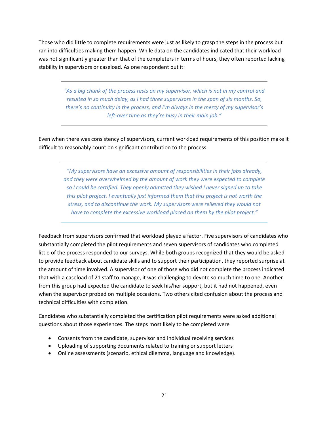Those who did little to complete requirements were just as likely to grasp the steps in the process but ran into difficulties making them happen. While data on the candidates indicated that their workload was not significantly greater than that of the completers in terms of hours, they often reported lacking stability in supervisors or caseload. As one respondent put it:

> *"As a big chunk of the process rests on my supervisor, which is not in my control and resulted in so much delay, as I had three supervisors in the span of six months. So, there's no continuity in the process, and I'm always in the mercy of my supervisor's left-over time as they're busy in their main job."*

Even when there was consistency of supervisors, current workload requirements of this position make it difficult to reasonably count on significant contribution to the process.

> *"My supervisors have an excessive amount of responsibilities in their jobs already, and they were overwhelmed by the amount of work they were expected to complete so I could be certified. They openly admitted they wished I never signed up to take this pilot project. I eventually just informed them that this project is not worth the stress, and to discontinue the work. My supervisors were relieved they would not have to complete the excessive workload placed on them by the pilot project."*

Feedback from supervisors confirmed that workload played a factor. Five supervisors of candidates who substantially completed the pilot requirements and seven supervisors of candidates who completed little of the process responded to our surveys. While both groups recognized that they would be asked to provide feedback about candidate skills and to support their participation, they reported surprise at the amount of time involved. A supervisor of one of those who did not complete the process indicated that with a caseload of 21 staff to manage, it was challenging to devote so much time to one. Another from this group had expected the candidate to seek his/her support, but it had not happened, even when the supervisor probed on multiple occasions. Two others cited confusion about the process and technical difficulties with completion.

Candidates who substantially completed the certification pilot requirements were asked additional questions about those experiences. The steps most likely to be completed were

- Consents from the candidate, supervisor and individual receiving services
- Uploading of supporting documents related to training or support letters
- Online assessments (scenario, ethical dilemma, language and knowledge).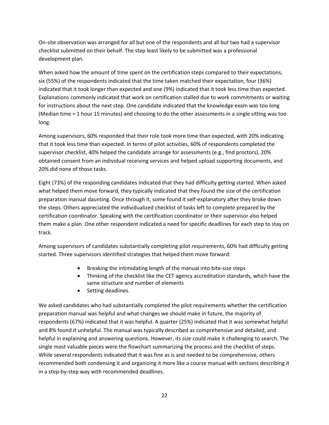On-site observation was arranged for all but one of the respondents and all but two had a supervisor checklist submitted on their behalf. The step least likely to be submitted was a professional development plan.

When asked how the amount of time spent on the certification steps compared to their expectations, six (55%) of the respondents indicated that the time taken matched their expectation, four (36%) indicated that it took longer than expected and one (9%) indicated that it took less time than expected. Explanations commonly indicated that work on certification stalled due to work commitments or waiting for instructions about the next step. One candidate indicated that the knowledge exam was too long (Median time = 1 hour 15 minutes) and choosing to do the other assessments in a single sitting was too long.

Among supervisors, 60% responded that their role took more time than expected, with 20% indicating that it took less time than expected. In terms of pilot activities, 60% of respondents completed the supervisor checklist, 40% helped the candidate arrange for assessments (e.g., find proctors), 20% obtained consent from an individual receiving services and helped upload supporting documents, and 20% did none of those tasks.

Eight (73%) of the responding candidates indicated that they had difficulty getting started. When asked what helped them move forward, they typically indicated that they found the size of the certification preparation manual daunting. Once through it, some found it self-explanatory after they broke down the steps. Others appreciated the individualized checklist of tasks left to complete prepared by the certification coordinator. Speaking with the certification coordinator or their supervisor also helped them make a plan. One other respondent indicated a need for specific deadlines for each step to stay on track.

Among supervisors of candidates substantially completing pilot requirements, 60% had difficulty getting started. Three supervisors identified strategies that helped them move forward:

- Breaking the intimidating length of the manual into bite-size steps
- Thinking of the checklist like the CET agency accreditation standards, which have the same structure and number of elements
- Setting deadlines.

We asked candidates who had substantially completed the pilot requirements whether the certification preparation manual was helpful and what changes we should make in future, the majority of respondents (67%) indicated that it was helpful. A quarter (25%) indicated that it was somewhat helpful and 8% found it unhelpful. The manual was typically described as comprehensive and detailed, and helpful in explaining and answering questions. However, its size could make it challenging to search. The single most valuable pieces were the flowchart summarizing the process and the checklist of steps. While several respondents indicated that it was fine as is and needed to be comprehensive, others recommended both condensing it and organizing it more like a course manual with sections describing it in a step-by-step way with recommended deadlines.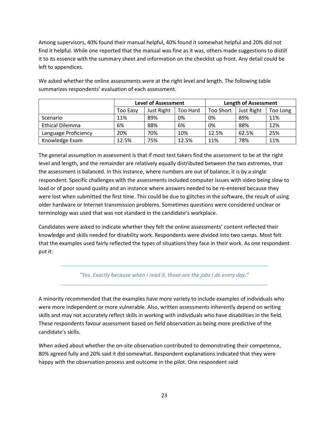Among supervisors, 40% found their manual helpful, 40% found it somewhat helpful and 20% did not find it helpful. While one reported that the manual was fine as it was, others made suggestions to distill it to its essence with the summary sheet and information on the checklist up front. Any detail could be left to appendices.

|                        | <b>Level of Assessment</b> |            |          | <b>Length of Assessment</b> |            |          |
|------------------------|----------------------------|------------|----------|-----------------------------|------------|----------|
|                        | Too Easy                   | Just Right | Too Hard | <b>Too Short</b>            | Just Right | Too Long |
| Scenario               | 11%                        | 89%        | 0%       | 0%                          | 89%        | 11%      |
| <b>Ethical Dilemma</b> | 6%                         | 88%        | 6%       | 0%                          | 88%        | 12%      |
| Language Proficiency   | 20%                        | 70%        | 10%      | 12.5%                       | 62.5%      | 25%      |
| Knowledge Exam         | 12.5%                      | 75%        | 12.5%    | 11%                         | 78%        | 11%      |

We asked whether the online assessments were at the right level and length. The following table summarizes respondents' evaluation of each assessment.

The general assumption in assessment is that if most test takers find the assessment to be at the right level and length, and the remainder are relatively equally distributed between the two extremes, that the assessment is balanced. In this instance, where numbers are out of balance, it is by a single respondent. Specific challenges with the assessments included computer issues with video being slow to load or of poor sound quality and an instance where answers needed to be re-entered because they were lost when submitted the first time. This could be due to glitches in the software, the result of using older hardware or Internet transmission problems. Sometimes questions were considered unclear or terminology was used that was not standard in the candidate's workplace.

Candidates were asked to indicate whether they felt the online assessments' content reflected their knowledge and skills needed for disability work. Respondents were divided into two camps. Most felt that the examples used fairly reflected the types of situations they face in their work. As one respondent put it:

## *"Yes. Exactly because when I read it, those are the jobs I do every day."*

A minority recommended that the examples have more variety to include examples of individuals who were more independent or more vulnerable. Also, written assessments inherently depend on writing skills and may not accurately reflect skills in working with individuals who have disabilities in the field. These respondents favour assessment based on field observation as being more predictive of the candidate's skills.

When asked about whether the on-site observation contributed to demonstrating their competence, 80% agreed fully and 20% said it did somewhat. Respondent explanations indicated that they were happy with the observation process and outcome in the pilot. One respondent said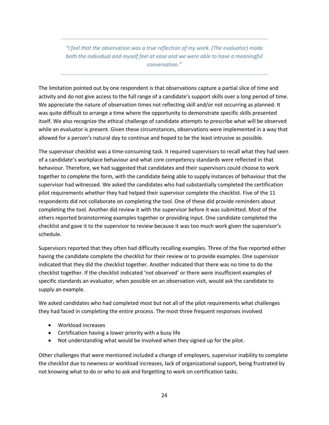*"I feel that the observation was a true reflection of my work. (The evaluator) made both the individual and myself feel at ease and we were able to have a meaningful conversation."*

The limitation pointed out by one respondent is that observations capture a partial slice of time and activity and do not give access to the full range of a candidate's support skills over a long period of time. We appreciate the nature of observation times not reflecting skill and/or not occurring as planned. It was quite difficult to arrange a time where the opportunity to demonstrate specific skills presented itself. We also recognize the ethical challenge of candidate attempts to prescribe what will be observed while an evaluator is present. Given these circumstances, observations were implemented in a way that allowed for a person's natural day to continue and hoped to be the least intrusive as possible.

The supervisor checklist was a time-consuming task. It required supervisors to recall what they had seen of a candidate's workplace behaviour and what core competency standards were reflected in that behaviour. Therefore, we had suggested that candidates and their supervisors could choose to work together to complete the form, with the candidate being able to supply instances of behaviour that the supervisor had witnessed. We asked the candidates who had substantially completed the certification pilot requirements whether they had helped their supervisor complete the checklist. Five of the 11 respondents did not collaborate on completing the tool. One of these did provide reminders about completing the tool. Another did review it with the supervisor before it was submitted. Most of the others reported brainstorming examples together or providing input. One candidate completed the checklist and gave it to the supervisor to review because it was too much work given the supervisor's schedule.

Supervisors reported that they often had difficulty recalling examples. Three of the five reported either having the candidate complete the checklist for their review or to provide examples. One supervisor indicated that they did the checklist together. Another indicated that there was no time to do the checklist together. If the checklist indicated 'not observed' or there were insufficient examples of specific standards an evaluator, when possible on an observation visit, would ask the candidate to supply an example.

We asked candidates who had completed most but not all of the pilot requirements what challenges they had faced in completing the entire process. The most three frequent responses involved

- Workload increases
- Certification having a lower priority with a busy life
- Not understanding what would be involved when they signed up for the pilot.

Other challenges that were mentioned included a change of employers, supervisor inability to complete the checklist due to newness or workload increases, lack of organizational support, being frustrated by not knowing what to do or who to ask and forgetting to work on certification tasks.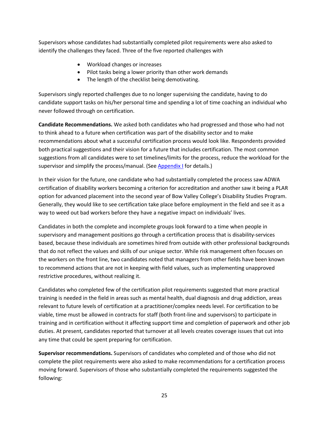Supervisors whose candidates had substantially completed pilot requirements were also asked to identify the challenges they faced. Three of the five reported challenges with

- Workload changes or increases
- Pilot tasks being a lower priority than other work demands
- The length of the checklist being demotivating.

Supervisors singly reported challenges due to no longer supervising the candidate, having to do candidate support tasks on his/her personal time and spending a lot of time coaching an individual who never followed through on certification.

**Candidate Recommendations.** We asked both candidates who had progressed and those who had not to think ahead to a future when certification was part of the disability sector and to make recommendations about what a successful certification process would look like. Respondents provided both practical suggestions and their vision for a future that includes certification. The most common suggestions from all candidates were to set timelines/limits for the process, reduce the workload for the supervisor and simplify the process/manual. (See Appendix I for details.)

In their vision for the future, one candidate who had substantially completed the process saw ADWA certification of disability workers becoming a criterion for accreditation and another saw it being a PLAR option for advanced placement into the second year of Bow Valley College's Disability Studies Program. Generally, they would like to see certification take place before employment in the field and see it as a way to weed out bad workers before they have a negative impact on individuals' lives.

Candidates in both the complete and incomplete groups look forward to a time when people in supervisory and management positions go through a certification process that is disability-services based, because these individuals are sometimes hired from outside with other professional backgrounds that do not reflect the values and skills of our unique sector. While risk management often focuses on the workers on the front line, two candidates noted that managers from other fields have been known to recommend actions that are not in keeping with field values, such as implementing unapproved restrictive procedures, without realizing it.

Candidates who completed few of the certification pilot requirements suggested that more practical training is needed in the field in areas such as mental health, dual diagnosis and drug addiction, areas relevant to future levels of certification at a practitioner/complex needs level. For certification to be viable, time must be allowed in contracts for staff (both front-line and supervisors) to participate in training and in certification without it affecting support time and completion of paperwork and other job duties. At present, candidates reported that turnover at all levels creates coverage issues that cut into any time that could be spent preparing for certification.

**Supervisor recommendations.** Supervisors of candidates who completed and of those who did not complete the pilot requirements were also asked to make recommendations for a certification process moving forward. Supervisors of those who substantially completed the requirements suggested the following: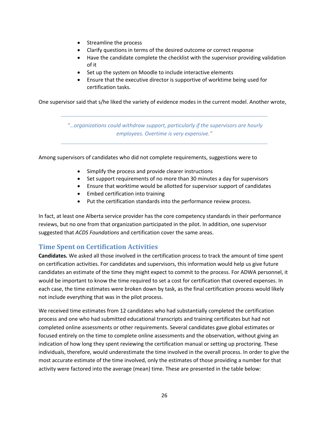- Streamline the process
- Clarify questions in terms of the desired outcome or correct response
- Have the candidate complete the checklist with the supervisor providing validation of it
- Set up the system on Moodle to include interactive elements
- Ensure that the executive director is supportive of worktime being used for certification tasks.

One supervisor said that s/he liked the variety of evidence modes in the current model. Another wrote,

*"…organizations could withdraw support, particularly if the supervisors are hourly employees. Overtime is very expensive."*

Among supervisors of candidates who did not complete requirements, suggestions were to

- Simplify the process and provide clearer instructions
- Set support requirements of no more than 30 minutes a day for supervisors
- Ensure that worktime would be allotted for supervisor support of candidates
- Embed certification into training
- Put the certification standards into the performance review process.

In fact, at least one Alberta service provider has the core competency standards in their performance reviews, but no one from that organization participated in the pilot. In addition, one supervisor suggested that *ACDS Foundations* and certification cover the same areas.

## **Time Spent on Certification Activities**

**Candidates.** We asked all those involved in the certification process to track the amount of time spent on certification activities. For candidates and supervisors, this information would help us give future candidates an estimate of the time they might expect to commit to the process. For ADWA personnel, it would be important to know the time required to set a cost for certification that covered expenses. In each case, the time estimates were broken down by task, as the final certification process would likely not include everything that was in the pilot process.

We received time estimates from 12 candidates who had substantially completed the certification process and one who had submitted educational transcripts and training certificates but had not completed online assessments or other requirements. Several candidates gave global estimates or focused entirely on the time to complete online assessments and the observation, without giving an indication of how long they spent reviewing the certification manual or setting up proctoring. These individuals, therefore, would underestimate the time involved in the overall process. In order to give the most accurate estimate of the time involved, only the estimates of those providing a number for that activity were factored into the average (mean) time. These are presented in the table below: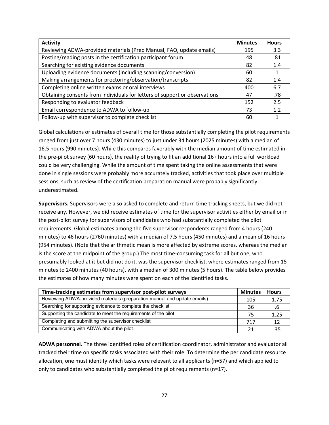| <b>Activity</b>                                                            | <b>Minutes</b> | <b>Hours</b> |
|----------------------------------------------------------------------------|----------------|--------------|
| Reviewing ADWA-provided materials (Prep Manual, FAQ, update emails)        | 195            | 3.3          |
| Posting/reading posts in the certification participant forum               | 48             | .81          |
| Searching for existing evidence documents                                  | 82             | 1.4          |
| Uploading evidence documents (including scanning/conversion)               | 60             |              |
| Making arrangements for proctoring/observation/transcripts                 | 82             | 1.4          |
| Completing online written exams or oral interviews                         | 400            | 6.7          |
| Obtaining consents from individuals for letters of support or observations | 47             | .78          |
| Responding to evaluator feedback                                           | 152            | 2.5          |
| Email correspondence to ADWA to follow-up                                  | 73             | 1.2          |
| Follow-up with supervisor to complete checklist                            | 60             |              |

Global calculations or estimates of overall time for those substantially completing the pilot requirements ranged from just over 7 hours (430 minutes) to just under 34 hours (2025 minutes) with a median of 16.5 hours (990 minutes). While this compares favorably with the median amount of time estimated in the pre-pilot survey (60 hours), the reality of trying to fit an additional 16+ hours into a full workload could be very challenging. While the amount of time spent taking the online assessments that were done in single sessions were probably more accurately tracked, activities that took place over multiple sessions, such as review of the certification preparation manual were probably significantly underestimated.

**Supervisors.** Supervisors were also asked to complete and return time tracking sheets, but we did not receive any. However, we did receive estimates of time for the supervisor activities either by email or in the post-pilot survey for supervisors of candidates who had substantially completed the pilot requirements. Global estimates among the five supervisor respondents ranged from 4 hours (240 minutes) to 46 hours (2760 minutes) with a median of 7.5 hours (450 minutes) and a mean of 16 hours (954 minutes). (Note that the arithmetic mean is more affected by extreme scores, whereas the median is the score at the midpoint of the group.) The most time-consuming task for all but one, who presumably looked at it but did not do it, was the supervisor checklist, where estimates ranged from 15 minutes to 2400 minutes (40 hours), with a median of 300 minutes (5 hours). The table below provides the estimates of how many minutes were spent on each of the identified tasks.

| Time-tracking estimates from supervisor post-pilot surveys               | <b>Minutes</b> | <b>Hours</b> |
|--------------------------------------------------------------------------|----------------|--------------|
| Reviewing ADWA-provided materials (preparation manual and update emails) | 105            | 1.75         |
| Searching for supporting evidence to complete the checklist              | 36             |              |
| Supporting the candidate to meet the requirements of the pilot           |                | 1.25         |
| Completing and submitting the supervisor checklist                       | 717            | 12           |
| Communicating with ADWA about the pilot                                  |                | .35          |

**ADWA personnel.** The three identified roles of certification coordinator, administrator and evaluator all tracked their time on specific tasks associated with their role. To determine the per candidate resource allocation, one must identify which tasks were relevant to all applicants (n=57) and which applied to only to candidates who substantially completed the pilot requirements (n=17).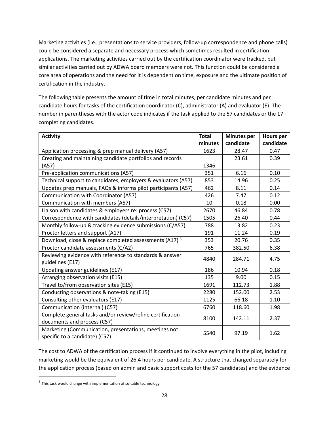Marketing activities (i.e., presentations to service providers, follow-up correspondence and phone calls) could be considered a separate and necessary process which sometimes resulted in certification applications. The marketing activities carried out by the certification coordinator were tracked, but similar activities carried out by ADWA board members were not. This function could be considered a core area of operations and the need for it is dependent on time, exposure and the ultimate position of certification in the industry.

The following table presents the amount of time in total minutes, per candidate minutes and per candidate hours for tasks of the certification coordinator (C), administrator (A) and evaluator (E). The number in parentheses with the actor code indicates if the task applied to the 57 candidates or the 17 completing candidates.

| <b>Activity</b>                                                                         | <b>Total</b> | <b>Minutes per</b> | <b>Hours per</b> |
|-----------------------------------------------------------------------------------------|--------------|--------------------|------------------|
|                                                                                         | minutes      | candidate          | candidate        |
| Application processing & prep manual delivery (A57)                                     | 1623         | 28.47              | 0.47             |
| Creating and maintaining candidate portfolios and records                               |              | 23.61              | 0.39             |
| (A57)                                                                                   | 1346         |                    |                  |
| Pre-application communications (A57)                                                    | 351          | 6.16               | 0.10             |
| Technical support to candidates, employers & evaluators (A57)                           | 853          | 14.96              | 0.25             |
| Updates prep manuals, FAQs & informs pilot participants (A57)                           | 462          | 8.11               | 0.14             |
| Communication with Coordinator (A57)                                                    | 426          | 7.47               | 0.12             |
| Communication with members (A57)                                                        | 10           | 0.18               | 0.00             |
| Liaison with candidates & employers re: process (C57)                                   | 2670         | 46.84              | 0.78             |
| Correspondence with candidates (details/interpretation) (C57)                           | 1505         | 26.40              | 0.44             |
| Monthly follow-up & tracking evidence submissions (C/A57)                               | 788          | 13.82              | 0.23             |
| Proctor letters and support (A17)                                                       | 191          | 11.24              | 0.19             |
| Download, close & replace completed assessments (A17) <sup>3</sup>                      | 353          | 20.76              | 0.35             |
| Proctor candidate assessments (C/A2)                                                    | 765          | 382.50             | 6.38             |
| Reviewing evidence with reference to standards & answer                                 | 4840         | 284.71             | 4.75             |
| guidelines (E17)                                                                        |              |                    |                  |
| Updating answer guidelines (E17)                                                        | 186          | 10.94              | 0.18             |
| Arranging observation visits (E15)                                                      | 135          | 9.00               | 0.15             |
| Travel to/from observation sites (E15)                                                  | 1691         | 112.73             | 1.88             |
| Conducting observations & note-taking (E15)                                             | 2280         | 152.00             | 2.53             |
| Consulting other evaluators (E17)                                                       | 1125         | 66.18              | 1.10             |
| Communication (internal) (C57)                                                          | 6760         | 118.60             | 1.98             |
| Complete general tasks and/or review/refine certification                               | 8100         | 142.11             | 2.37             |
| documents and process (C57)                                                             |              |                    |                  |
| Marketing (Communication, presentations, meetings not<br>specific to a candidate) (C57) | 5540         | 97.19              | 1.62             |

The cost to ADWA of the certification process if it continued to involve everything in the pilot, including marketing would be the equivalent of 26.4 hours per candidate. A structure that charged separately for the application process (based on admin and basic support costs for the 57 candidates) and the evidence

<sup>&</sup>lt;sup>3</sup> This task would change with implementation of suitable technology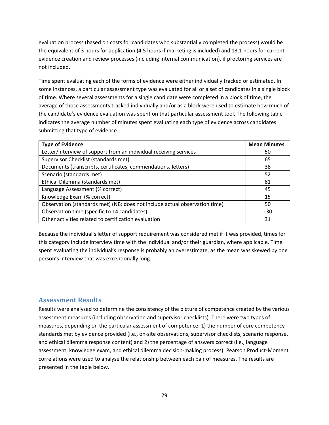evaluation process (based on costs for candidates who substantially completed the process) would be the equivalent of 3 hours for application (4.5 hours if marketing is included) and 13.1 hours for current evidence creation and review processes (including internal communication), if proctoring services are not included.

Time spent evaluating each of the forms of evidence were either individually tracked or estimated. In some instances, a particular assessment type was evaluated for all or a set of candidates in a single block of time. Where several assessments for a single candidate were completed in a block of time, the average of those assessments tracked individually and/or as a block were used to estimate how much of the candidate's evidence evaluation was spent on that particular assessment tool. The following table indicates the average number of minutes spent evaluating each type of evidence across candidates submitting that type of evidence.

| <b>Type of Evidence</b>                                                    | <b>Mean Minutes</b> |
|----------------------------------------------------------------------------|---------------------|
| Letter/interview of support from an individual receiving services          | 50                  |
| Supervisor Checklist (standards met)                                       | 65                  |
| Documents (transcripts, certificates, commendations, letters)              | 38                  |
| Scenario (standards met)                                                   | 52                  |
| Ethical Dilemma (standards met)                                            | 81                  |
| Language Assessment (% correct)                                            | 45                  |
| Knowledge Exam (% correct)                                                 | 15                  |
| Observation (standards met) (NB: does not include actual observation time) | 50                  |
| Observation time (specific to 14 candidates)                               | 130                 |
| Other activities related to certification evaluation                       | 31                  |

Because the individual's letter of support requirement was considered met if it was provided, times for this category include interview time with the individual and/or their guardian, where applicable. Time spent evaluating the individual's response is probably an overestimate, as the mean was skewed by one person's interview that was exceptionally long.

## **Assessment Results**

Results were analysed to determine the consistency of the picture of competence created by the various assessment measures (including observation and supervisor checklists). There were two types of measures, depending on the particular assessment of competence: 1) the number of core competency standards met by evidence provided (i.e., on-site observations, supervisor checklists, scenario response, and ethical dilemma response content) and 2) the percentage of answers correct (i.e., language assessment, knowledge exam, and ethical dilemma decision-making process). Pearson Product-Moment correlations were used to analyse the relationship between each pair of measures. The results are presented in the table below.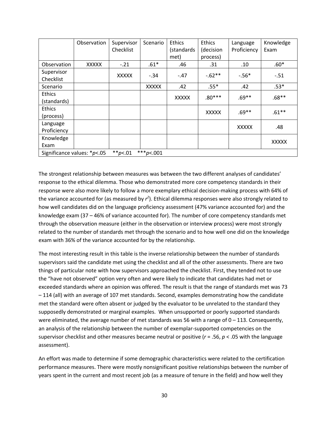|                                                                | Observation  | Supervisor   | Scenario     | Ethics       | <b>Ethics</b> | Language     | Knowledge    |
|----------------------------------------------------------------|--------------|--------------|--------------|--------------|---------------|--------------|--------------|
|                                                                |              | Checklist    |              | (standards   | (decision     | Proficiency  | Exam         |
|                                                                |              |              |              | met)         | process)      |              |              |
| Observation                                                    | <b>XXXXX</b> | $-.21$       | $.61*$       | .46          | .31           | .10          | $.60*$       |
| Supervisor                                                     |              | <b>XXXXX</b> | $-.34$       | $-.47$       | $-0.62**$     | $-.56*$      | $-.51$       |
| Checklist                                                      |              |              |              |              |               |              |              |
| Scenario                                                       |              |              | <b>XXXXX</b> | .42          | $.55*$        | .42          | $.53*$       |
| <b>Ethics</b>                                                  |              |              |              | <b>XXXXX</b> | $.80***$      | $.69**$      | $.68**$      |
| (standards)                                                    |              |              |              |              |               |              |              |
| <b>Ethics</b>                                                  |              |              |              |              | <b>XXXXX</b>  | $.69**$      | $.61***$     |
| (process)                                                      |              |              |              |              |               |              |              |
| Language                                                       |              |              |              |              |               | <b>XXXXX</b> | .48          |
| Proficiency                                                    |              |              |              |              |               |              |              |
| Knowledge                                                      |              |              |              |              |               |              | <b>XXXXX</b> |
| Exam                                                           |              |              |              |              |               |              |              |
| *** $p<.001$<br>Significance values: $* p < .05$<br>** $p<.01$ |              |              |              |              |               |              |              |

The strongest relationship between measures was between the two different analyses of candidates' response to the ethical dilemma. Those who demonstrated more core competency standards in their response were also more likely to follow a more exemplary ethical decision-making process with 64% of the variance accounted for (as measured by  $r^2$ ). Ethical dilemma responses were also strongly related to how well candidates did on the language proficiency assessment (47% variance accounted for) and the knowledge exam (37 – 46% of variance accounted for). The number of core competency standards met through the observation measure (either in the observation or interview process) were most strongly related to the number of standards met through the scenario and to how well one did on the knowledge exam with 36% of the variance accounted for by the relationship.

The most interesting result in this table is the inverse relationship between the number of standards supervisors said the candidate met using the checklist and all of the other assessments. There are two things of particular note with how supervisors approached the checklist. First, they tended not to use the "have not observed" option very often and were likely to indicate that candidates had met or exceeded standards where an opinion was offered. The result is that the range of standards met was 73 – 114 (all) with an average of 107 met standards. Second, examples demonstrating how the candidate met the standard were often absent or judged by the evaluator to be unrelated to the standard they supposedly demonstrated or marginal examples. When unsupported or poorly supported standards were eliminated, the average number of met standards was 56 with a range of  $0 - 113$ . Consequently, an analysis of the relationship between the number of exemplar-supported competencies on the supervisor checklist and other measures became neutral or positive (*r* = .56, *p* < .05 with the language assessment).

An effort was made to determine if some demographic characteristics were related to the certification performance measures. There were mostly nonsignificant positive relationships between the number of years spent in the current and most recent job (as a measure of tenure in the field) and how well they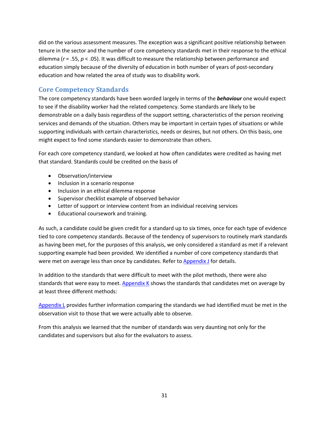did on the various assessment measures. The exception was a significant positive relationship between tenure in the sector and the number of core competency standards met in their response to the ethical dilemma (*r* = .55, *p* < .05). It was difficult to measure the relationship between performance and education simply because of the diversity of education in both number of years of post-secondary education and how related the area of study was to disability work.

# **Core Competency Standards**

The core competency standards have been worded largely in terms of the *behaviour* one would expect to see if the disability worker had the related competency. Some standards are likely to be demonstrable on a daily basis regardless of the support setting, characteristics of the person receiving services and demands of the situation. Others may be important in certain types of situations or while supporting individuals with certain characteristics, needs or desires, but not others. On this basis, one might expect to find some standards easier to demonstrate than others.

For each core competency standard, we looked at how often candidates were credited as having met that standard. Standards could be credited on the basis of

- Observation/interview
- Inclusion in a scenario response
- Inclusion in an ethical dilemma response
- Supervisor checklist example of observed behavior
- Letter of support or interview content from an individual receiving services
- Educational coursework and training.

As such, a candidate could be given credit for a standard up to six times, once for each type of evidence tied to core competency standards. Because of the tendency of supervisors to routinely mark standards as having been met, for the purposes of this analysis, we only considered a standard as met if a relevant supporting example had been provided. We identified a number of core competency standards that were met on average less than once by candidates. Refer to **Appendix J** for details.

In addition to the standards that were difficult to meet with the pilot methods, there were also standards that were easy to meet. Appendix K shows the standards that candidates met on average by at least three different methods:

Appendix  $L$  provides further information comparing the standards we had identified must be met in the observation visit to those that we were actually able to observe.

From this analysis we learned that the number of standards was very daunting not only for the candidates and supervisors but also for the evaluators to assess.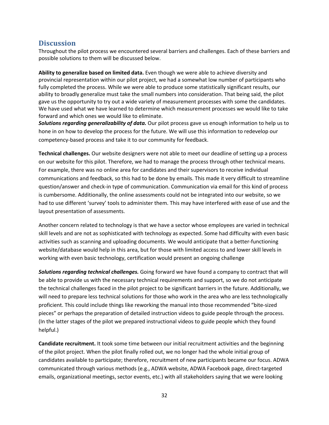# **Discussion**

Throughout the pilot process we encountered several barriers and challenges. Each of these barriers and possible solutions to them will be discussed below.

**Ability to generalize based on limited data.** Even though we were able to achieve diversity and provincial representation within our pilot project, we had a somewhat low number of participants who fully completed the process. While we were able to produce some statistically significant results, our ability to broadly generalize must take the small numbers into consideration. That being said, the pilot gave us the opportunity to try out a wide variety of measurement processes with some the candidates. We have used what we have learned to determine which measurement processes we would like to take forward and which ones we would like to eliminate.

*Solutions regarding generalizability of data.* Our pilot process gave us enough information to help us to hone in on how to develop the process for the future. We will use this information to redevelop our competency-based process and take it to our community for feedback.

**Technical challenges.** Our website designers were not able to meet our deadline of setting up a process on our website for this pilot. Therefore, we had to manage the process through other technical means. For example, there was no online area for candidates and their supervisors to receive individual communications and feedback, so this had to be done by emails. This made it very difficult to streamline question/answer and check-in type of communication. Communication via email for this kind of process is cumbersome. Additionally, the online assessments could not be integrated into our website, so we had to use different 'survey' tools to administer them. This may have interfered with ease of use and the layout presentation of assessments.

Another concern related to technology is that we have a sector whose employees are varied in technical skill levels and are not as sophisticated with technology as expected. Some had difficulty with even basic activities such as scanning and uploading documents. We would anticipate that a better-functioning website/database would help in this area, but for those with limited access to and lower skill levels in working with even basic technology, certification would present an ongoing challenge

*Solutions regarding technical challenges.* Going forward we have found a company to contract that will be able to provide us with the necessary technical requirements and support, so we do not anticipate the technical challenges faced in the pilot project to be significant barriers in the future. Additionally, we will need to prepare less technical solutions for those who work in the area who are less technologically proficient. This could include things like reworking the manual into those recommended "bite-sized pieces" or perhaps the preparation of detailed instruction videos to guide people through the process. (In the latter stages of the pilot we prepared instructional videos to guide people which they found helpful.)

**Candidate recruitment.** It took some time between our initial recruitment activities and the beginning of the pilot project. When the pilot finally rolled out, we no longer had the whole initial group of candidates available to participate; therefore, recruitment of new participants became our focus. ADWA communicated through various methods (e.g., ADWA website, ADWA Facebook page, direct-targeted emails, organizational meetings, sector events, etc.) with all stakeholders saying that we were looking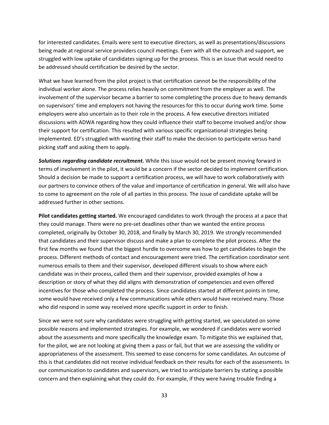for interested candidates. Emails were sent to executive directors, as well as presentations/discussions being made at regional service providers council meetings. Even with all the outreach and support, we struggled with low uptake of candidates signing up for the process. This is an issue that would need to be addressed should certification be desired by the sector.

What we have learned from the pilot project is that certification cannot be the responsibility of the individual worker alone. The process relies heavily on commitment from the employer as well. The involvement of the supervisor became a barrier to some completing the process due to heavy demands on supervisors' time and employers not having the resources for this to occur during work time. Some employers were also uncertain as to their role in the process. A few executive directors initiated discussions with ADWA regarding how they could influence their staff to become involved and/or show their support for certification. This resulted with various specific organizational strategies being implemented. ED's struggled with wanting their staff to make the decision to participate versus hand picking staff and asking them to apply.

*Solutions regarding candidate recruitment.* While this issue would not be present moving forward in terms of involvement in the pilot, it would be a concern if the sector decided to implement certification. Should a decision be made to support a certification process, we will have to work collaboratively with our partners to convince others of the value and importance of certification in general. We will also have to come to agreement on the role of all parties in this process. The issue of candidate uptake will be addressed further in other sections.

**Pilot candidates getting started.** We encouraged candidates to work through the process at a pace that they could manage. There were no pre-set deadlines other than we wanted the entire process completed, originally by October 30, 2018, and finally by March 30, 2019. We strongly recommended that candidates and their supervisor discuss and make a plan to complete the pilot process. After the first few months we found that the biggest hurdle to overcome was how to get candidates to begin the process. Different methods of contact and encouragement were tried. The certification coordinator sent numerous emails to them and their supervisor, developed different visuals to show where each candidate was in their process, called them and their supervisor, provided examples of how a description or story of what they did aligns with demonstration of competencies and even offered incentives for those who completed the process. Since candidates started at different points in time, some would have received only a few communications while others would have received many. Those who did respond in some way received more specific support in order to finish.

Since we were not sure why candidates were struggling with getting started, we speculated on some possible reasons and implemented strategies. For example, we wondered if candidates were worried about the assessments and more specifically the knowledge exam. To mitigate this we explained that, for the pilot, we are not looking at giving them a pass or fail, but that we are assessing the validity or appropriateness of the assessment. This seemed to ease concerns for some candidates. An outcome of this is that candidates did not receive individual feedback on their results for each of the assessments. In our communication to candidates and supervisors, we tried to anticipate barriers by stating a possible concern and then explaining what they could do. For example, if they were having trouble finding a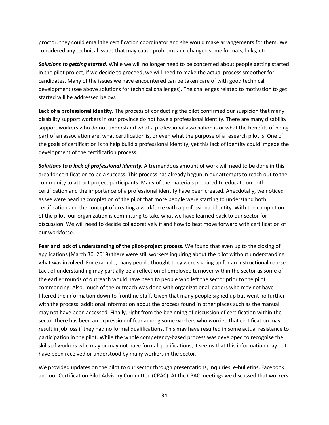proctor, they could email the certification coordinator and she would make arrangements for them. We considered any technical issues that may cause problems and changed some formats, links, etc.

*Solutions to getting started.* While we will no longer need to be concerned about people getting started in the pilot project, if we decide to proceed, we will need to make the actual process smoother for candidates. Many of the issues we have encountered can be taken care of with good technical development (see above solutions for technical challenges). The challenges related to motivation to get started will be addressed below.

**Lack of a professional identity.** The process of conducting the pilot confirmed our suspicion that many disability support workers in our province do not have a professional identity. There are many disability support workers who do not understand what a professional association is or what the benefits of being part of an association are, what certification is, or even what the purpose of a research pilot is. One of the goals of certification is to help build a professional identity, yet this lack of identity could impede the development of the certification process.

*Solutions to a lack of professional identity.* A tremendous amount of work will need to be done in this area for certification to be a success. This process has already begun in our attempts to reach out to the community to attract project participants. Many of the materials prepared to educate on both certification and the importance of a professional identity have been created. Anecdotally, we noticed as we were nearing completion of the pilot that more people were starting to understand both certification and the concept of creating a workforce with a professional identity. With the completion of the pilot, our organization is committing to take what we have learned back to our sector for discussion. We will need to decide collaboratively if and how to best move forward with certification of our workforce.

**Fear and lack of understanding of the pilot-project process.** We found that even up to the closing of applications (March 30, 2019) there were still workers inquiring about the pilot without understanding what was involved. For example, many people thought they were signing up for an instructional course. Lack of understanding may partially be a reflection of employee turnover within the sector as some of the earlier rounds of outreach would have been to people who left the sector prior to the pilot commencing. Also, much of the outreach was done with organizational leaders who may not have filtered the information down to frontline staff. Given that many people signed up but went no further with the process, additional information about the process found in other places such as the manual may not have been accessed. Finally, right from the beginning of discussion of certification within the sector there has been an expression of fear among some workers who worried that certification may result in job loss if they had no formal qualifications. This may have resulted in some actual resistance to participation in the pilot. While the whole competency-based process was developed to recognise the skills of workers who may or may not have formal qualifications, it seems that this information may not have been received or understood by many workers in the sector.

We provided updates on the pilot to our sector through presentations, inquiries, e-bulletins, Facebook and our Certification Pilot Advisory Committee (CPAC). At the CPAC meetings we discussed that workers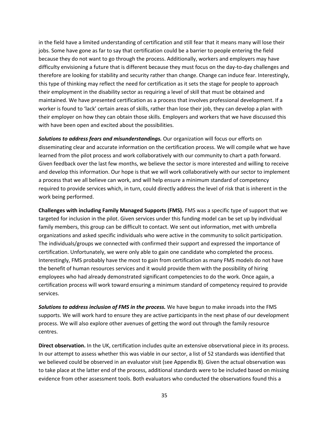in the field have a limited understanding of certification and still fear that it means many will lose their jobs. Some have gone as far to say that certification could be a barrier to people entering the field because they do not want to go through the process. Additionally, workers and employers may have difficulty envisioning a future that is different because they must focus on the day-to-day challenges and therefore are looking for stability and security rather than change. Change can induce fear. Interestingly, this type of thinking may reflect the need for certification as it sets the stage for people to approach their employment in the disability sector as requiring a level of skill that must be obtained and maintained. We have presented certification as a process that involves professional development. If a worker is found to 'lack' certain areas of skills, rather than lose their job, they can develop a plan with their employer on how they can obtain those skills. Employers and workers that we have discussed this with have been open and excited about the possibilities.

*Solutions to address fears and misunderstandings.* Our organization will focus our efforts on disseminating clear and accurate information on the certification process. We will compile what we have learned from the pilot process and work collaboratively with our community to chart a path forward. Given feedback over the last few months, we believe the sector is more interested and willing to receive and develop this information. Our hope is that we will work collaboratively with our sector to implement a process that we all believe can work, and will help ensure a minimum standard of competency required to provide services which, in turn, could directly address the level of risk that is inherent in the work being performed.

**Challenges with including Family Managed Supports (FMS).** FMS was a specific type of support that we targeted for inclusion in the pilot. Given services under this funding model can be set up by individual family members, this group can be difficult to contact. We sent out information, met with umbrella organizations and asked specific individuals who were active in the community to solicit participation. The individuals/groups we connected with confirmed their support and expressed the importance of certification. Unfortunately, we were only able to gain one candidate who completed the process. Interestingly, FMS probably have the most to gain from certification as many FMS models do not have the benefit of human resources services and it would provide them with the possibility of hiring employees who had already demonstrated significant competencies to do the work. Once again, a certification process will work toward ensuring a minimum standard of competency required to provide services.

*Solutions to address inclusion of FMS in the process.* We have begun to make inroads into the FMS supports. We will work hard to ensure they are active participants in the next phase of our development process. We will also explore other avenues of getting the word out through the family resource centres.

**Direct observation.** In the UK, certification includes quite an extensive observational piece in its process. In our attempt to assess whether this was viable in our sector, a list of 52 standards was identified that we believed could be observed in an evaluator visit (see Appendix B). Given the actual observation was to take place at the latter end of the process, additional standards were to be included based on missing evidence from other assessment tools. Both evaluators who conducted the observations found this a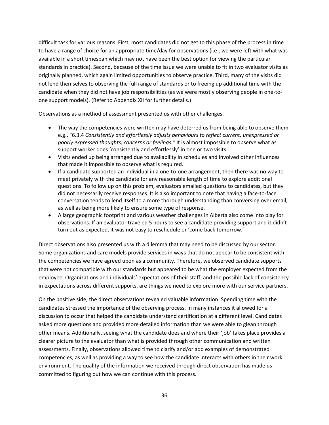difficult task for various reasons. First, most candidates did not get to this phase of the process in time to have a range of choice for an appropriate time/day for observations (i.e., we were left with what was available in a short timespan which may not have been the best option for viewing the particular standards in practice). Second, because of the time issue we were unable to fit in two evaluator visits as originally planned, which again limited opportunities to observe practice. Third, many of the visits did not lend themselves to observing the full range of standards or to freeing up additional time with the candidate when they did not have job responsibilities (as we were mostly observing people in one-toone support models). (Refer to Appendix XII for further details.)

Observations as a method of assessment presented us with other challenges.

- The way the competencies were written may have deterred us from being able to observe them e.g., "6.3.4 *Consistently and effortlessly adjusts behaviours to reflect current, unexpressed or poorly expressed thoughts, concerns or feelings."* It is almost impossible to observe what as support worker does 'consistently and effortlessly' in one or two visits.
- Visits ended up being arranged due to availability in schedules and involved other influences that made it impossible to observe what is required.
- If a candidate supported an individual in a one-to-one arrangement, then there was no way to meet privately with the candidate for any reasonable length of time to explore additional questions. To follow up on this problem, evaluators emailed questions to candidates, but they did not necessarily receive responses. It is also important to note that having a face-to-face conversation tends to lend itself to a more thorough understanding than conversing over email, as well as being more likely to ensure some type of response.
- A large geographic footprint and various weather challenges in Alberta also come into play for observations. If an evaluator traveled 5 hours to see a candidate providing support and it didn't turn out as expected, it was not easy to reschedule or 'come back tomorrow.'

Direct observations also presented us with a dilemma that may need to be discussed by our sector. Some organizations and care models provide services in ways that do not appear to be consistent with the competencies we have agreed upon as a community. Therefore, we observed candidate supports that were not compatible with our standards but appeared to be what the employer expected from the employee. Organizations and individuals' expectations of their staff, and the possible lack of consistency in expectations across different supports, are things we need to explore more with our service partners.

On the positive side, the direct observations revealed valuable information. Spending time with the candidates stressed the importance of the observing process. In many instances it allowed for a discussion to occur that helped the candidate understand certification at a different level. Candidates asked more questions and provided more detailed information than we were able to glean through other means. Additionally, seeing what the candidate does and where their 'job' takes place provides a clearer picture to the evaluator than what is provided through other communication and written assessments. Finally, observations allowed time to clarify and/or add examples of demonstrated competencies, as well as providing a way to see how the candidate interacts with others in their work environment. The quality of the information we received through direct observation has made us committed to figuring out how we can continue with this process.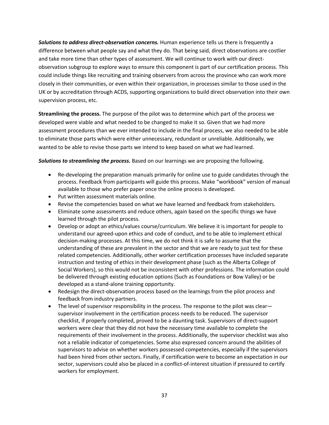**Solutions to address direct-observation concerns.** Human experience tells us there is frequently a difference between what people say and what they do. That being said, direct observations are costlier and take more time than other types of assessment. We will continue to work with our directobservation subgroup to explore ways to ensure this component is part of our certification process. This could include things like recruiting and training observers from across the province who can work more closely in their communities, or even within their organization, in processes similar to those used in the UK or by accreditation through ACDS, supporting organizations to build direct observation into their own supervision process, etc.

**Streamlining the process.** The purpose of the pilot was to determine which part of the process we developed were viable and what needed to be changed to make it so. Given that we had more assessment procedures than we ever intended to include in the final process, we also needed to be able to eliminate those parts which were either unnecessary, redundant or unreliable. Additionally, we wanted to be able to revise those parts we intend to keep based on what we had learned.

*Solutions to streamlining the process.* Based on our learnings we are proposing the following.

- Re-developing the preparation manuals primarily for online use to guide candidates through the process. Feedback from participants will guide this process. Make "workbook" version of manual available to those who prefer paper once the online process is developed.
- Put written assessment materials online.
- Revise the competencies based on what we have learned and feedback from stakeholders.
- Eliminate some assessments and reduce others, again based on the specific things we have learned through the pilot process.
- Develop or adopt an ethics/values course/curriculum. We believe it is important for people to understand our agreed-upon ethics and code of conduct, and to be able to implement ethical decision-making processes. At this time, we do not think it is safe to assume that the understanding of these are prevalent in the sector and that we are ready to just test for these related competencies. Additionally, other worker certification processes have included separate instruction and testing of ethics in their development phase (such as the Alberta College of Social Workers), so this would not be inconsistent with other professions. The information could be delivered through existing education options (Such as Foundations or Bow Valley) or be developed as a stand-alone training opportunity.
- Redesign the direct-observation process based on the learnings from the pilot process and feedback from industry partners.
- The level of supervisor responsibility in the process. The response to the pilot was clear supervisor involvement in the certification process needs to be reduced. The supervisor checklist, if properly completed, proved to be a daunting task. Supervisors of direct-support workers were clear that they did not have the necessary time available to complete the requirements of their involvement in the process. Additionally, the supervisor checklist was also not a reliable indicator of competencies. Some also expressed concern around the abilities of supervisors to advise on whether workers possessed competencies, especially if the supervisors had been hired from other sectors. Finally, if certification were to become an expectation in our sector, supervisors could also be placed in a conflict-of-interest situation if pressured to certify workers for employment.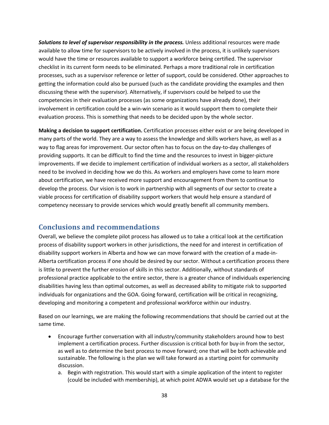**Solutions to level of supervisor responsibility in the process.** Unless additional resources were made available to allow time for supervisors to be actively involved in the process, it is unlikely supervisors would have the time or resources available to support a workforce being certified. The supervisor checklist in its current form needs to be eliminated. Perhaps a more traditional role in certification processes, such as a supervisor reference or letter of support, could be considered. Other approaches to getting the information could also be pursued (such as the candidate providing the examples and then discussing these with the supervisor). Alternatively, if supervisors could be helped to use the competencies in their evaluation processes (as some organizations have already done), their involvement in certification could be a win-win scenario as it would support them to complete their evaluation process. This is something that needs to be decided upon by the whole sector.

**Making a decision to support certification.** Certification processes either exist or are being developed in many parts of the world. They are a way to assess the knowledge and skills workers have, as well as a way to flag areas for improvement. Our sector often has to focus on the day-to-day challenges of providing supports. It can be difficult to find the time and the resources to invest in bigger-picture improvements. If we decide to implement certification of individual workers as a sector, all stakeholders need to be involved in deciding how we do this. As workers and employers have come to learn more about certification, we have received more support and encouragement from them to continue to develop the process. Our vision is to work in partnership with all segments of our sector to create a viable process for certification of disability support workers that would help ensure a standard of competency necessary to provide services which would greatly benefit all community members.

# **Conclusions and recommendations**

Overall, we believe the complete pilot process has allowed us to take a critical look at the certification process of disability support workers in other jurisdictions, the need for and interest in certification of disability support workers in Alberta and how we can move forward with the creation of a made-in-Alberta certification process if one should be desired by our sector. Without a certification process there is little to prevent the further erosion of skills in this sector. Additionally, without standards of professional practice applicable to the entire sector, there is a greater chance of individuals experiencing disabilities having less than optimal outcomes, as well as decreased ability to mitigate risk to supported individuals for organizations and the GOA. Going forward, certification will be critical in recognizing, developing and monitoring a competent and professional workforce within our industry.

Based on our learnings, we are making the following recommendations that should be carried out at the same time.

- Encourage further conversation with all industry/community stakeholders around how to best implement a certification process. Further discussion is critical both for buy-in from the sector, as well as to determine the best process to move forward; one that will be both achievable and sustainable. The following is the plan we will take forward as a starting point for community discussion.
	- a. Begin with registration. This would start with a simple application of the intent to register (could be included with membership), at which point ADWA would set up a database for the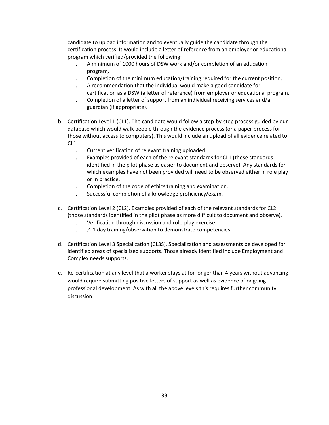candidate to upload information and to eventually guide the candidate through the certification process. It would include a letter of reference from an employer or educational program which verified/provided the following;

- . A minimum of 1000 hours of DSW work and/or completion of an education program,
- . Completion of the minimum education/training required for the current position,
- . A recommendation that the individual would make a good candidate for certification as a DSW (a letter of reference) from employer or educational program.
- . Completion of a letter of support from an individual receiving services and/a guardian (if appropriate).
- b. Certification Level 1 (CL1). The candidate would follow a step-by-step process guided by our database which would walk people through the evidence process (or a paper process for those without access to computers). This would include an upload of all evidence related to CL1.
	- . Current verification of relevant training uploaded.
	- . Examples provided of each of the relevant standards for CL1 (those standards identified in the pilot phase as easier to document and observe). Any standards for which examples have not been provided will need to be observed either in role play or in practice.
	- . Completion of the code of ethics training and examination.
	- . Successful completion of a knowledge proficiency/exam.
- c. Certification Level 2 (CL2). Examples provided of each of the relevant standards for CL2 (those standards identified in the pilot phase as more difficult to document and observe).
	- . Verification through discussion and role-play exercise.
	- .  $\frac{1}{2}$ -1 day training/observation to demonstrate competencies.
- d. Certification Level 3 Specialization (CL3S). Specialization and assessments be developed for identified areas of specialized supports. Those already identified include Employment and Complex needs supports.
- e. Re-certification at any level that a worker stays at for longer than 4 years without advancing would require submitting positive letters of support as well as evidence of ongoing professional development. As with all the above levels this requires further community discussion.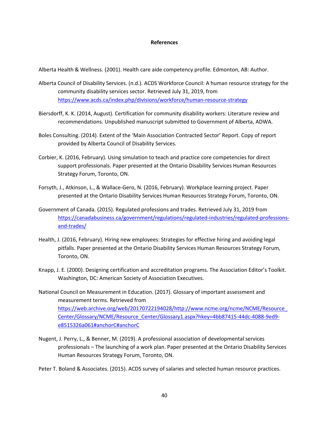#### **References**

Alberta Health & Wellness. (2001). Health care aide competency profile. Edmonton, AB: Author.

- Alberta Council of Disability Services. (n.d.). ACDS Workforce Council: A human resource strategy for the community disability services sector. Retrieved July 31, 2019, from https://www.acds.ca/index.php/divisions/workforce/human-resource-strategy
- Biersdorff, K. K. (2014, August). Certification for community disability workers: Literature review and recommendations. Unpublished manuscript submitted to Government of Alberta, ADWA.
- Boles Consulting. (2014). Extent of the 'Main Association Contracted Sector' Report. Copy of report provided by Alberta Council of Disability Services.
- Corbier, K. (2016, February). Using simulation to teach and practice core competencies for direct support professionals. Paper presented at the Ontario Disability Services Human Resources Strategy Forum, Toronto, ON.
- Forsyth, J., Atkinson, L., & Wallace-Gero, N. (2016, February). Workplace learning project. Paper presented at the Ontario Disability Services Human Resources Strategy Forum, Toronto, ON.
- Government of Canada. (2015). Regulated professions and trades. Retrieved July 31, 2019 from https://canadabusiness.ca/government/regulations/regulated-industries/regulated-professionsand-trades/
- Health, J. (2016, February). Hiring new employees: Strategies for effective hiring and avoiding legal pitfalls. Paper presented at the Ontario Disability Services Human Resources Strategy Forum, Toronto, ON.
- Knapp, J. E. (2000). Designing certification and accreditation programs. The Association Editor's Toolkit. Washington, DC: American Society of Association Executives.
- National Council on Measurement in Education. (2017). Glossary of important assessment and measurement terms. Retrieved from https://web.archive.org/web/20170722194028/http://www.ncme.org/ncme/NCME/Resource\_ Center/Glossary/NCME/Resource\_Center/Glossary1.aspx?hkey=4bb87415-44dc-4088-9ed9 e8515326a061#anchorC#anchorC
- Nugent, J. Perry, L., & Benner, M. (2019). A professional association of developmental services professionals – The launching of a work plan. Paper presented at the Ontario Disability Services Human Resources Strategy Forum, Toronto, ON.

Peter T. Boland & Associates. (2015). ACDS survey of salaries and selected human resource practices.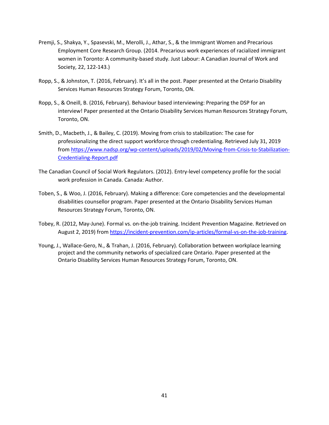- Premji, S., Shakya, Y., Spasevski, M., Merolli, J., Athar, S., & the Immigrant Women and Precarious Employment Core Research Group. (2014. Precarious work experiences of racialized immigrant women in Toronto: A community-based study. Just Labour: A Canadian Journal of Work and Society, 22, 122-143.)
- Ropp, S., & Johnston, T. (2016, February). It's all in the post. Paper presented at the Ontario Disability Services Human Resources Strategy Forum, Toronto, ON.
- Ropp, S., & Oneill, B. (2016, February). Behaviour based interviewing: Preparing the DSP for an interview! Paper presented at the Ontario Disability Services Human Resources Strategy Forum, Toronto, ON.
- Smith, D., Macbeth, J., & Bailey, C. (2019). Moving from crisis to stabilization: The case for professionalizing the direct support workforce through credentialing. Retrieved July 31, 2019 from https://www.nadsp.org/wp-content/uploads/2019/02/Moving-from-Crisis-to-Stabilization-Credentialing-Report.pdf
- The Canadian Council of Social Work Regulators. (2012). Entry-level competency profile for the social work profession in Canada. Canada: Author.
- Toben, S., & Woo, J. (2016, February). Making a difference: Core competencies and the developmental disabilities counsellor program. Paper presented at the Ontario Disability Services Human Resources Strategy Forum, Toronto, ON.
- Tobey, R. (2012, May-June). Formal vs. on-the-job training. Incident Prevention Magazine. Retrieved on August 2, 2019) from https://incident-prevention.com/ip-articles/formal-vs-on-the-job-training.
- Young, J., Wallace-Gero, N., & Trahan, J. (2016, February). Collaboration between workplace learning project and the community networks of specialized care Ontario. Paper presented at the Ontario Disability Services Human Resources Strategy Forum, Toronto, ON.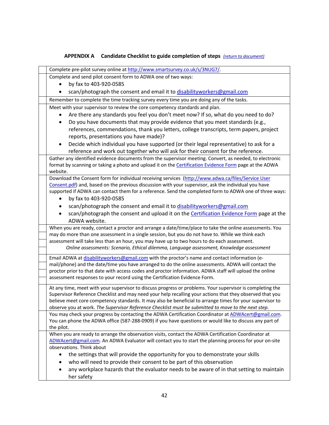# **APPENDIX A Candidate Checklist to guide completion of steps** *(return to document)*

| Complete pre-pilot survey online at http://www.smartsurvey.co.uk/s/3NUG7/.                                                                                                                                     |
|----------------------------------------------------------------------------------------------------------------------------------------------------------------------------------------------------------------|
| Complete and send pilot consent form to ADWA one of two ways:                                                                                                                                                  |
| by fax to 403-920-0585                                                                                                                                                                                         |
| scan/photograph the consent and email it to disabilityworkers@gmail.com                                                                                                                                        |
| Remember to complete the time tracking survey every time you are doing any of the tasks.                                                                                                                       |
| Meet with your supervisor to review the core competency standards and plan.                                                                                                                                    |
| Are there any standards you feel you don't meet now? If so, what do you need to do?                                                                                                                            |
| Do you have documents that may provide evidence that you meet standards (e.g.,                                                                                                                                 |
| references, commendations, thank you letters, college transcripts, term papers, project                                                                                                                        |
| reports, presentations you have made)?                                                                                                                                                                         |
| Decide which individual you have supported (or their legal representative) to ask for a                                                                                                                        |
| reference and work out together who will ask for their consent for the reference.                                                                                                                              |
| Gather any identified evidence documents from the supervisor meeting. Convert, as needed, to electronic                                                                                                        |
| format by scanning or taking a photo and upload it on the Certification Evidence Form page at the ADWA                                                                                                         |
| website.                                                                                                                                                                                                       |
| Download the Consent form for individual receiving services (http://www.adwa.ca/files/Service User<br>Consent.pdf) and, based on the previous discussion with your supervisor, ask the individual you have     |
| supported if ADWA can contact them for a reference. Send the completed form to ADWA one of three ways:                                                                                                         |
| by fax to 403-920-0585                                                                                                                                                                                         |
| scan/photograph the consent and email it to disabilityworkers@gmail.com                                                                                                                                        |
| scan/photograph the consent and upload it on the <b>Certification Evidence Form</b> page at the                                                                                                                |
| ADWA website.                                                                                                                                                                                                  |
| When you are ready, contact a proctor and arrange a date/time/place to take the online assessments. You                                                                                                        |
| may do more than one assessment in a single session, but you do not have to. While we think each                                                                                                               |
| assessment will take less than an hour, you may have up to two hours to do each assessment.                                                                                                                    |
| Online assessments: Scenario, Ethical dilemma, Language assessment, Knowledge assessment                                                                                                                       |
| Email ADWA at disabilityworkers@gmail.com with the proctor's name and contact information (e-                                                                                                                  |
| mail/phone) and the date/time you have arranged to do the online assessments. ADWA will contact the                                                                                                            |
| proctor prior to that date with access codes and proctor information. ADWA staff will upload the online                                                                                                        |
| assessment responses to your record using the Certification Evidence Form.                                                                                                                                     |
| At any time, meet with your supervisor to discuss progress or problems. Your supervisor is completing the                                                                                                      |
| Supervisor Reference Checklist and may need your help recalling your actions that they observed that you                                                                                                       |
| believe meet core competency standards. It may also be beneficial to arrange times for your supervisor to                                                                                                      |
| observe you at work. The Supervisor Reference Checklist must be submitted to move to the next step.                                                                                                            |
| You may check your progress by contacting the ADWA Certification Coordinator at ADWAcert@gmail.com.<br>You can phone the ADWA office (587-288-0909) if you have questions or would like to discuss any part of |
| the pilot.                                                                                                                                                                                                     |
| When you are ready to arrange the observation visits, contact the ADWA Certification Coordinator at                                                                                                            |
| ADWAcert@gmail.com. An ADWA Evaluator will contact you to start the planning process for your on-site                                                                                                          |
| observations. Think about                                                                                                                                                                                      |
| the settings that will provide the opportunity for you to demonstrate your skills                                                                                                                              |
| who will need to provide their consent to be part of this observation                                                                                                                                          |
| any workplace hazards that the evaluator needs to be aware of in that setting to maintain                                                                                                                      |
| her safety                                                                                                                                                                                                     |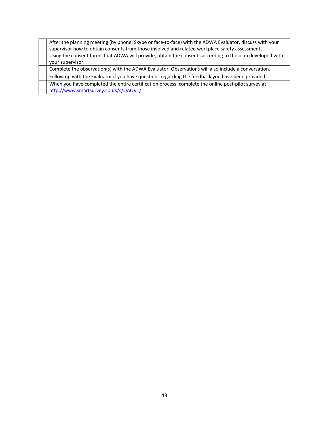| After the planning meeting (by phone, Skype or face-to-face) with the ADWA Evaluator, discuss with your<br>supervisor how to obtain consents from those involved and related workplace safety assessments. |
|------------------------------------------------------------------------------------------------------------------------------------------------------------------------------------------------------------|
| Using the consent forms that ADWA will provide, obtain the consents according to the plan developed with                                                                                                   |
| your supervisor.                                                                                                                                                                                           |
| Complete the observation(s) with the ADWA Evaluator. Observations will also include a conversation.                                                                                                        |
| Follow up with the Evaluator if you have questions regarding the feedback you have been provided.                                                                                                          |
| When you have completed the entire certification process, complete the online post-pilot survey at                                                                                                         |
| http://www.smartsurvey.co.uk/s/QAOVT/                                                                                                                                                                      |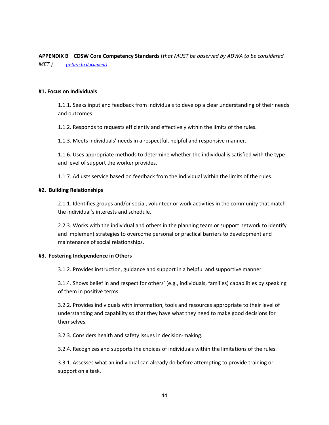**APPENDIX B CDSW Core Competency Standards** (*that MUST be observed by ADWA to be considered MET.) (return to document)*

#### **#1. Focus on Individuals**

1.1.1. Seeks input and feedback from individuals to develop a clear understanding of their needs and outcomes.

1.1.2. Responds to requests efficiently and effectively within the limits of the rules.

1.1.3. Meets individuals' needs in a respectful, helpful and responsive manner.

1.1.6. Uses appropriate methods to determine whether the individual is satisfied with the type and level of support the worker provides.

1.1.7. Adjusts service based on feedback from the individual within the limits of the rules.

#### **#2. Building Relationships**

2.1.1. Identifies groups and/or social, volunteer or work activities in the community that match the individual's interests and schedule.

2.2.3. Works with the individual and others in the planning team or support network to identify and implement strategies to overcome personal or practical barriers to development and maintenance of social relationships.

#### **#3. Fostering Independence in Others**

3.1.2. Provides instruction, guidance and support in a helpful and supportive manner.

3.1.4. Shows belief in and respect for others' (e.g., individuals, families) capabilities by speaking of them in positive terms.

3.2.2. Provides individuals with information, tools and resources appropriate to their level of understanding and capability so that they have what they need to make good decisions for themselves.

3.2.3. Considers health and safety issues in decision-making.

3.2.4. Recognizes and supports the choices of individuals within the limitations of the rules.

3.3.1. Assesses what an individual can already do before attempting to provide training or support on a task.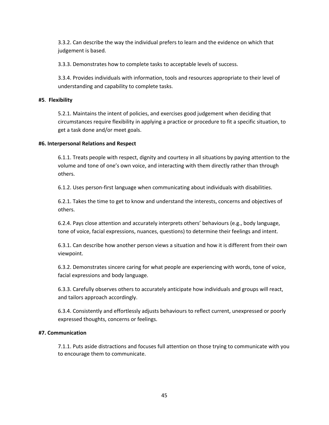3.3.2. Can describe the way the individual prefers to learn and the evidence on which that judgement is based.

3.3.3. Demonstrates how to complete tasks to acceptable levels of success.

3.3.4. Provides individuals with information, tools and resources appropriate to their level of understanding and capability to complete tasks.

## **#5**. **Flexibility**

5.2.1. Maintains the intent of policies, and exercises good judgement when deciding that circumstances require flexibility in applying a practice or procedure to fit a specific situation, to get a task done and/or meet goals.

## **#6. Interpersonal Relations and Respect**

6.1.1. Treats people with respect, dignity and courtesy in all situations by paying attention to the volume and tone of one's own voice, and interacting with them directly rather than through others.

6.1.2. Uses person-first language when communicating about individuals with disabilities.

6.2.1. Takes the time to get to know and understand the interests, concerns and objectives of others.

6.2.4. Pays close attention and accurately interprets others' behaviours (e.g., body language, tone of voice, facial expressions, nuances, questions) to determine their feelings and intent.

6.3.1. Can describe how another person views a situation and how it is different from their own viewpoint.

6.3.2. Demonstrates sincere caring for what people are experiencing with words, tone of voice, facial expressions and body language.

6.3.3. Carefully observes others to accurately anticipate how individuals and groups will react, and tailors approach accordingly.

6.3.4. Consistently and effortlessly adjusts behaviours to reflect current, unexpressed or poorly expressed thoughts, concerns or feelings.

## **#7. Communication**

7.1.1. Puts aside distractions and focuses full attention on those trying to communicate with you to encourage them to communicate.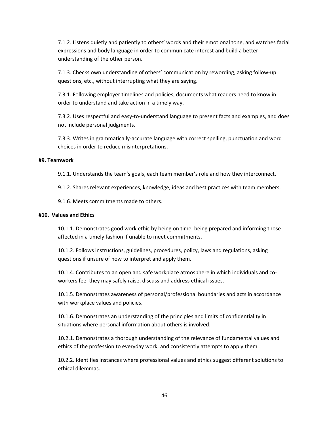7.1.2. Listens quietly and patiently to others' words and their emotional tone, and watches facial expressions and body language in order to communicate interest and build a better understanding of the other person.

7.1.3. Checks own understanding of others' communication by rewording, asking follow-up questions, etc., without interrupting what they are saying.

7.3.1. Following employer timelines and policies, documents what readers need to know in order to understand and take action in a timely way.

7.3.2. Uses respectful and easy-to-understand language to present facts and examples, and does not include personal judgments.

7.3.3. Writes in grammatically-accurate language with correct spelling, punctuation and word choices in order to reduce misinterpretations.

## **#9. Teamwork**

9.1.1. Understands the team's goals, each team member's role and how they interconnect.

9.1.2. Shares relevant experiences, knowledge, ideas and best practices with team members.

9.1.6. Meets commitments made to others.

## **#10. Values and Ethics**

10.1.1. Demonstrates good work ethic by being on time, being prepared and informing those affected in a timely fashion if unable to meet commitments.

10.1.2. Follows instructions, guidelines, procedures, policy, laws and regulations, asking questions if unsure of how to interpret and apply them.

10.1.4. Contributes to an open and safe workplace atmosphere in which individuals and coworkers feel they may safely raise, discuss and address ethical issues.

10.1.5. Demonstrates awareness of personal/professional boundaries and acts in accordance with workplace values and policies.

10.1.6. Demonstrates an understanding of the principles and limits of confidentiality in situations where personal information about others is involved.

10.2.1. Demonstrates a thorough understanding of the relevance of fundamental values and ethics of the profession to everyday work, and consistently attempts to apply them.

10.2.2. Identifies instances where professional values and ethics suggest different solutions to ethical dilemmas.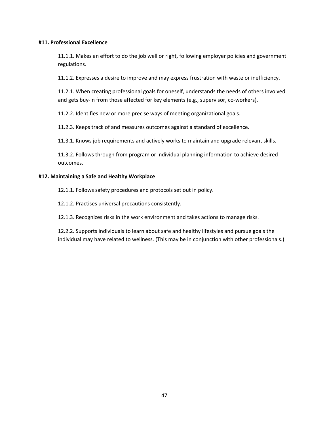#### **#11. Professional Excellence**

11.1.1. Makes an effort to do the job well or right, following employer policies and government regulations.

11.1.2. Expresses a desire to improve and may express frustration with waste or inefficiency.

11.2.1. When creating professional goals for oneself, understands the needs of others involved and gets buy-in from those affected for key elements (e.g., supervisor, co-workers).

11.2.2. Identifies new or more precise ways of meeting organizational goals.

11.2.3. Keeps track of and measures outcomes against a standard of excellence.

11.3.1. Knows job requirements and actively works to maintain and upgrade relevant skills.

11.3.2. Follows through from program or individual planning information to achieve desired outcomes.

#### **#12. Maintaining a Safe and Healthy Workplace**

12.1.1. Follows safety procedures and protocols set out in policy.

12.1.2. Practises universal precautions consistently.

12.1.3. Recognizes risks in the work environment and takes actions to manage risks.

12.2.2. Supports individuals to learn about safe and healthy lifestyles and pursue goals the individual may have related to wellness. (This may be in conjunction with other professionals.)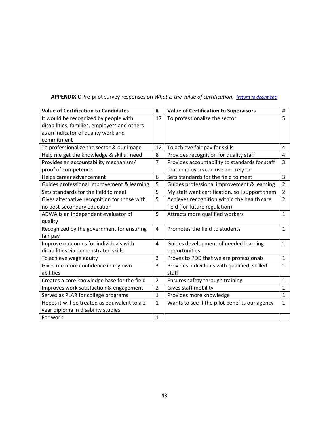| APPENDIX C Pre-pilot survey responses on What is the value of certification. (return to document) |  |
|---------------------------------------------------------------------------------------------------|--|
|---------------------------------------------------------------------------------------------------|--|

| <b>Value of Certification to Candidates</b>    | #              | <b>Value of Certification to Supervisors</b>   | #              |
|------------------------------------------------|----------------|------------------------------------------------|----------------|
| It would be recognized by people with          | 17             | To professionalize the sector                  | 5              |
| disabilities, families, employers and others   |                |                                                |                |
| as an indicator of quality work and            |                |                                                |                |
| commitment                                     |                |                                                |                |
| To professionalize the sector & our image      | 12             | To achieve fair pay for skills                 | 4              |
| Help me get the knowledge & skills I need      | 8              | Provides recognition for quality staff         | 4              |
| Provides an accountability mechanism/          | $\overline{7}$ | Provides accountability to standards for staff | 3              |
| proof of competence                            |                | that employers can use and rely on             |                |
| Helps career advancement                       | 6              | Sets standards for the field to meet           | 3              |
| Guides professional improvement & learning     | 5              | Guides professional improvement & learning     | $\overline{2}$ |
| Sets standards for the field to meet           | 5              | My staff want certification, so I support them | $\overline{2}$ |
| Gives alternative recognition for those with   | 5              | Achieves recognition within the health care    | $\overline{2}$ |
| no post-secondary education                    |                | field (for future regulation)                  |                |
| ADWA is an independent evaluator of            | 5              | Attracts more qualified workers                | $\mathbf{1}$   |
| quality                                        |                |                                                |                |
| Recognized by the government for ensuring      | 4              | Promotes the field to students                 | $\mathbf{1}$   |
| fair pay                                       |                |                                                |                |
| Improve outcomes for individuals with          | 4              | Guides development of needed learning          | $\mathbf{1}$   |
| disabilities via demonstrated skills           |                | opportunities                                  |                |
| To achieve wage equity                         | 3              | Proves to PDD that we are professionals        | $\mathbf{1}$   |
| Gives me more confidence in my own             | 3              | Provides individuals with qualified, skilled   | $\mathbf{1}$   |
| abilities                                      |                | staff                                          |                |
| Creates a core knowledge base for the field    | $\overline{2}$ | Ensures safety through training                | $\mathbf{1}$   |
| Improves work satisfaction & engagement        | $\overline{2}$ | Gives staff mobility                           | $\mathbf{1}$   |
| Serves as PLAR for college programs            | $\mathbf{1}$   | Provides more knowledge                        | $\mathbf{1}$   |
| Hopes it will be treated as equivalent to a 2- | $\mathbf{1}$   | Wants to see if the pilot benefits our agency  | $\mathbf{1}$   |
| year diploma in disability studies             |                |                                                |                |
| For work                                       | $\mathbf{1}$   |                                                |                |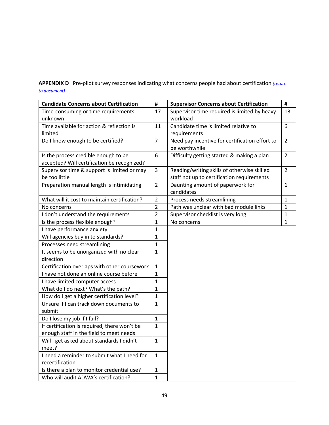**APPENDIX D** Pre-pilot survey responses indicating what concerns people had about certification *(return to document)*

| <b>Candidate Concerns about Certification</b> | #              | <b>Supervisor Concerns about Certification</b> | #              |
|-----------------------------------------------|----------------|------------------------------------------------|----------------|
| Time-consuming or time requirements           | 17             | Supervisor time required is limited by heavy   | 13             |
| unknown                                       |                | workload                                       |                |
| Time available for action & reflection is     | 11             | Candidate time is limited relative to          | 6              |
| limited                                       |                | requirements                                   |                |
| Do I know enough to be certified?             | $\overline{7}$ | Need pay incentive for certification effort to | $\overline{2}$ |
|                                               |                | be worthwhile                                  |                |
| Is the process credible enough to be          | 6              | Difficulty getting started & making a plan     | $\overline{2}$ |
| accepted? Will certification be recognized?   |                |                                                |                |
| Supervisor time & support is limited or may   | 3              | Reading/writing skills of otherwise skilled    | $\overline{2}$ |
| be too little                                 |                | staff not up to certification requirements     |                |
| Preparation manual length is intimidating     | $\overline{2}$ | Daunting amount of paperwork for               | $\mathbf{1}$   |
|                                               |                | candidates                                     |                |
| What will it cost to maintain certification?  | $\overline{2}$ | Process needs streamlining                     | $\mathbf{1}$   |
| No concerns                                   | $\overline{2}$ | Path was unclear with bad module links         | $\mathbf{1}$   |
| I don't understand the requirements           | $\overline{2}$ | Supervisor checklist is very long              | $\mathbf 1$    |
| Is the process flexible enough?               | $\mathbf{1}$   | No concerns                                    | $\mathbf{1}$   |
| I have performance anxiety                    | $\mathbf{1}$   |                                                |                |
| Will agencies buy in to standards?            | $\mathbf{1}$   |                                                |                |
| Processes need streamlining                   | $\mathbf{1}$   |                                                |                |
| It seems to be unorganized with no clear      | $\mathbf{1}$   |                                                |                |
| direction                                     |                |                                                |                |
| Certification overlaps with other coursework  | $\mathbf{1}$   |                                                |                |
| I have not done an online course before       | $\mathbf{1}$   |                                                |                |
| I have limited computer access                | $\mathbf{1}$   |                                                |                |
| What do I do next? What's the path?           | $\mathbf{1}$   |                                                |                |
| How do I get a higher certification level?    | $\mathbf{1}$   |                                                |                |
| Unsure if I can track down documents to       | $\mathbf{1}$   |                                                |                |
| submit                                        |                |                                                |                |
| Do I lose my job if I fail?                   | $\mathbf{1}$   |                                                |                |
| If certification is required, there won't be  | 1              |                                                |                |
| enough staff in the field to meet needs       |                |                                                |                |
| Will I get asked about standards I didn't     | 1              |                                                |                |
| meet?                                         |                |                                                |                |
| I need a reminder to submit what I need for   | $\mathbf{1}$   |                                                |                |
| recertification                               |                |                                                |                |
| Is there a plan to monitor credential use?    | $\mathbf{1}$   |                                                |                |
| Who will audit ADWA's certification?          | 1              |                                                |                |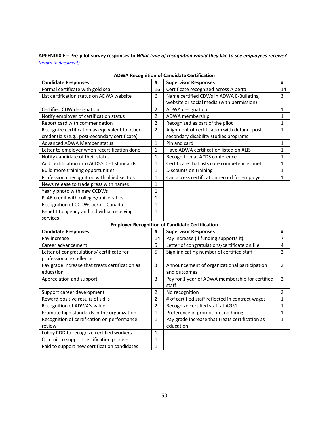**APPENDIX E – Pre-pilot survey responses to** *What type of recognition would they like to see employees receive? (return to document)*

|                                                 |                | <b>ADWA Recognition of Candidate Certification</b>     |                |
|-------------------------------------------------|----------------|--------------------------------------------------------|----------------|
| <b>Candidate Responses</b>                      | #              | <b>Supervisor Responses</b>                            | #              |
| Formal certificate with gold seal               | 16             | Certificate recognized across Alberta                  | 14             |
| List certification status on ADWA website       | 6              | Name certified CDWs in ADWA E-Bulletins,               | 3              |
|                                                 |                | website or social media (with permission)              |                |
| Certified CDW designation                       | $\mathbf 2$    | ADWA designation                                       | 1              |
| Notify employer of certification status         | $\overline{2}$ | ADWA membership                                        | $\mathbf{1}$   |
| Report card with commendation                   | $\overline{2}$ | Recognized as part of the pilot                        | $\mathbf 1$    |
| Recognize certification as equivalent to other  | $\overline{2}$ | Alignment of certification with defunct post-          | $\mathbf{1}$   |
| credentials (e.g., post-secondary certificate)  |                | secondary disability studies programs                  |                |
| <b>Advanced ADWA Member status</b>              | $\mathbf{1}$   | Pin and card                                           | $\mathbf{1}$   |
| Letter to employer when recertification done    | $\mathbf{1}$   | Have ADWA certification listed on ALIS                 | $\mathbf{1}$   |
| Notify candidate of their status                | $\mathbf{1}$   | Recognition at ACDS conference                         | $\mathbf{1}$   |
| Add certification into ACDS's CET standards     | $\mathbf{1}$   | Certificate that lists core competencies met           | 1              |
| Build more training opportunities               | $\mathbf{1}$   | Discounts on training                                  | $\mathbf{1}$   |
| Professional recognition with allied sectors    | $\mathbf{1}$   | Can access certification record for employers          | $\mathbf{1}$   |
| News release to trade press with names          | $\mathbf{1}$   |                                                        |                |
| Yearly photo with new CCDWs                     | $\mathbf{1}$   |                                                        |                |
| PLAR credit with colleges/universities          | $\mathbf{1}$   |                                                        |                |
| Recognition of CCDWs across Canada              | $\mathbf{1}$   |                                                        |                |
| Benefit to agency and individual receiving      | $\mathbf{1}$   |                                                        |                |
| services                                        |                |                                                        |                |
|                                                 |                | <b>Employer Recognition of Candidate Certification</b> |                |
| <b>Candidate Responses</b>                      | #              | <b>Supervisor Responses</b>                            | #              |
| Pay increase                                    | 14             | Pay increase (if funding supports it)                  | $\overline{7}$ |
| Career advancement                              | 5              | Letter of congratulations/certificate on file          | 4              |
| Letter of congratulations/ certificate for      | 5              | Sign indicating number of certified staff              | $\overline{2}$ |
| professional excellence                         |                |                                                        |                |
| Pay grade increase that treats certification as | 3              | Announcement of organizational participation           | $\overline{2}$ |
| education                                       |                | and outcomes                                           |                |
| Appreciation and support                        | 3              | Pay for 1 year of ADWA membership for certified        | $\overline{2}$ |
|                                                 |                | staff                                                  |                |
| Support career development                      | $\overline{2}$ | No recognition                                         | $\overline{2}$ |
| Reward positive results of skills               | $\overline{2}$ | # of certified staff reflected in contract wages       | $\mathbf{1}$   |
| Recognition of ADWA's value                     | $\overline{2}$ | Recognize certified staff at AGM                       | $\mathbf{1}$   |
| Promote high standards in the organization      | $\mathbf{1}$   | Preference in promotion and hiring                     | $\mathbf{1}$   |
| Recognition of certification on performance     | $\mathbf{1}$   | Pay grade increase that treats certification as        | $\mathbf{1}$   |
| review                                          |                | education                                              |                |
| Lobby PDD to recognize certified workers        | $\mathbf{1}$   |                                                        |                |
| Commit to support certification process         | $\mathbf{1}$   |                                                        |                |
| Paid to support new certification candidates    | $\mathbf{1}$   |                                                        |                |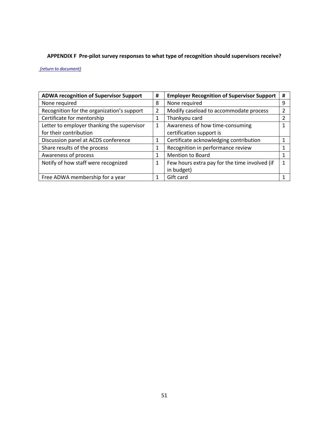# **APPENDIX F Pre-pilot survey responses to what type of recognition should supervisors receive?**

#### *(return to document)*

| <b>ADWA recognition of Supervisor Support</b> | # | <b>Employer Recognition of Supervisor Support</b> | # |
|-----------------------------------------------|---|---------------------------------------------------|---|
| None required                                 | 8 | None required                                     | q |
| Recognition for the organization's support    | 2 | Modify caseload to accommodate process            |   |
| Certificate for mentorship                    | 1 | Thankyou card                                     |   |
| Letter to employer thanking the supervisor    | 1 | Awareness of how time-consuming                   |   |
| for their contribution                        |   | certification support is                          |   |
| Discussion panel at ACDS conference           | 1 | Certificate acknowledging contribution            |   |
| Share results of the process                  | 1 | Recognition in performance review                 |   |
| Awareness of process                          | 1 | Mention to Board                                  |   |
| Notify of how staff were recognized           | 1 | Few hours extra pay for the time involved (if     |   |
|                                               |   | in budget)                                        |   |
| Free ADWA membership for a year               |   | Gift card                                         |   |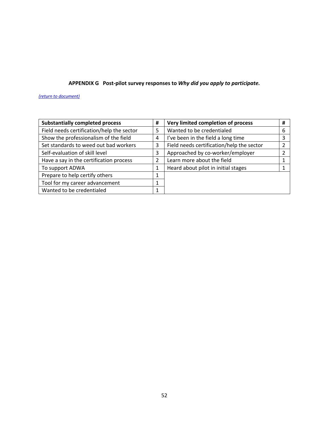# **APPENDIX G Post-pilot survey responses to** *Why did you apply to participate.*

*(return to document)*

| <b>Substantially completed process</b>    | # | Very limited completion of process        | # |
|-------------------------------------------|---|-------------------------------------------|---|
| Field needs certification/help the sector | 5 | Wanted to be credentialed                 | 6 |
| Show the professionalism of the field     | 4 | I've been in the field a long time        |   |
| Set standards to weed out bad workers     | 3 | Field needs certification/help the sector |   |
| Self-evaluation of skill level            | 3 | Approached by co-worker/employer          |   |
| Have a say in the certification process   | 2 | Learn more about the field                |   |
| To support ADWA                           | 1 | Heard about pilot in initial stages       |   |
| Prepare to help certify others            |   |                                           |   |
| Tool for my career advancement            | 1 |                                           |   |
| Wanted to be credentialed                 |   |                                           |   |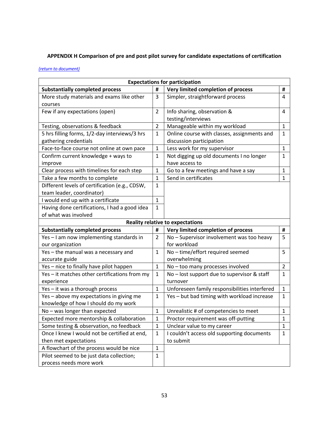# **APPENDIX H Comparison of pre and post pilot survey for candidate expectations of certification**

## *(return to document)*

| <b>Expectations for participation</b>          |                |                                               |                |
|------------------------------------------------|----------------|-----------------------------------------------|----------------|
| <b>Substantially completed process</b>         | #              | Very limited completion of process            | #              |
| More study materials and exams like other      | 3              | Simpler, straightforward process              | 4              |
| courses                                        |                |                                               |                |
| Few if any expectations (open)                 | $\overline{2}$ | Info sharing, observation &                   | 4              |
|                                                |                | testing/interviews                            |                |
| Testing, observations & feedback               | $\overline{2}$ | Manageable within my workload                 | $\mathbf{1}$   |
| 5 hrs filling forms, 1/2-day interviews/3 hrs  | $\mathbf{1}$   | Online course with classes, assignments and   | $\mathbf{1}$   |
| gathering credentials                          |                | discussion participation                      |                |
| Face-to-face course not online at own pace     | $\mathbf{1}$   | Less work for my supervisor                   | $\mathbf{1}$   |
| Confirm current knowledge + ways to            | 1              | Not digging up old documents I no longer      | 1              |
| improve                                        |                | have access to                                |                |
| Clear process with timelines for each step     | 1              | Go to a few meetings and have a say           | $\mathbf{1}$   |
| Take a few months to complete                  | 1              | Send in certificates                          | $\mathbf{1}$   |
| Different levels of certification (e.g., CDSW, | 1              |                                               |                |
| team leader, coordinator)                      |                |                                               |                |
| I would end up with a certificate              | $\mathbf{1}$   |                                               |                |
| Having done certifications, I had a good idea  | $\mathbf{1}$   |                                               |                |
| of what was involved                           |                |                                               |                |
|                                                |                | <b>Reality relative to expectations</b>       |                |
| <b>Substantially completed process</b>         | #              | Very limited completion of process            | #              |
| Yes - I am now implementing standards in       | $\overline{2}$ | No - Supervisor involvement was too heavy     | 5              |
| our organization                               |                | for workload                                  |                |
| Yes - the manual was a necessary and           | $\mathbf{1}$   | No-time/effort required seemed                | 5              |
| accurate guide                                 |                | overwhelming                                  |                |
| Yes - nice to finally have pilot happen        | $\mathbf{1}$   | No - too many processes involved              | $\overline{2}$ |
| Yes - it matches other certifications from my  | 1              | No – lost support due to supervisor & staff   | 1              |
| experience                                     |                | turnover                                      |                |
| Yes - it was a thorough process                | $\mathbf{1}$   | Unforeseen family responsibilities interfered | $\mathbf{1}$   |
| Yes - above my expectations in giving me       | 1              | Yes - but bad timing with workload increase   | 1              |
| knowledge of how I should do my work           |                |                                               |                |
| No - was longer than expected                  | $\mathbf{1}$   | Unrealistic # of competencies to meet         | $\mathbf{1}$   |
| Expected more mentorship & collaboration       | $\mathbf 1$    | Proctor requirement was off-putting           | $\mathbf 1$    |
| Some testing & observation, no feedback        | $\mathbf{1}$   | Unclear value to my career                    | $\mathbf{1}$   |
| Once I knew I would not be certified at end,   | $\mathbf{1}$   | I couldn't access old supporting documents    | $\mathbf{1}$   |
| then met expectations                          |                | to submit                                     |                |
| A flowchart of the process would be nice       | $\mathbf{1}$   |                                               |                |
| Pilot seemed to be just data collection;       | $\mathbf{1}$   |                                               |                |
| process needs more work                        |                |                                               |                |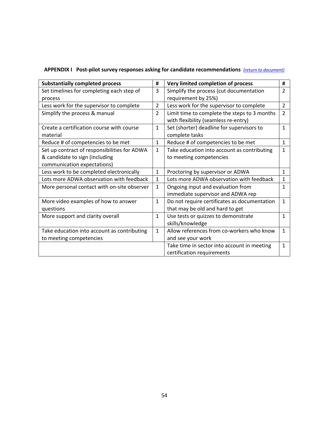| <b>Substantially completed process</b>       | #              | Very limited completion of process           | #              |
|----------------------------------------------|----------------|----------------------------------------------|----------------|
| Set timelines for completing each step of    | 3              | Simplify the process (cut documentation      | $\overline{2}$ |
| process                                      |                | requirement by 25%)                          |                |
| Less work for the supervisor to complete     | $\overline{2}$ | Less work for the supervisor to complete     | $\overline{2}$ |
| Simplify the process & manual                | $\overline{2}$ | Limit time to complete the steps to 3 months | $\mathcal{P}$  |
|                                              |                | with flexibility (seamless re-entry)         |                |
| Create a certification course with course    | $\mathbf{1}$   | Set (shorter) deadline for supervisors to    | $\mathbf{1}$   |
| material                                     |                | complete tasks                               |                |
| Reduce # of competencies to be met           | $\mathbf{1}$   | Reduce # of competencies to be met           | $\mathbf{1}$   |
| Set up contract of responsibilities for ADWA | $\mathbf{1}$   | Take education into account as contributing  | $\mathbf{1}$   |
| & candidate to sign (including               |                | to meeting competencies                      |                |
| communication expectations)                  |                |                                              |                |
| Less work to be completed electronically     | $\mathbf{1}$   | Proctoring by supervisor or ADWA             | $\mathbf{1}$   |
| Lots more ADWA observation with feedback     | $\mathbf{1}$   | Lots more ADWA observation with feedback     | $\mathbf{1}$   |
| More personal contact with on-site observer  | $\mathbf{1}$   | Ongoing input and evaluation from            | $\mathbf{1}$   |
|                                              |                | immediate supervisor and ADWA rep            |                |
| More video examples of how to answer         | $\mathbf{1}$   | Do not require certificates as documentation | $\mathbf{1}$   |
| questions                                    |                | that may be old and hard to get              |                |
| More support and clarity overall             | $\mathbf{1}$   | Use tests or quizzes to demonstrate          | $\mathbf{1}$   |
|                                              |                | skills/knowledge                             |                |
| Take education into account as contributing  | $\mathbf{1}$   | Allow references from co-workers who know    | $\mathbf{1}$   |
| to meeting competencies                      |                | and see your work                            |                |
|                                              |                | Take time in sector into account in meeting  | $\mathbf{1}$   |
|                                              |                | certification requirements                   |                |

# **APPENDIX I Post-pilot survey responses asking for candidate recommendations** *(return to document)*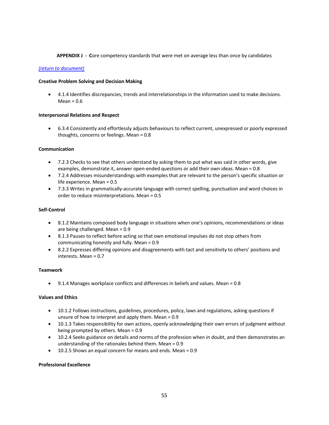#### **APPENDIX J - C**ore competency standards that were met on average less than once by candidates

#### *(return to document)*

#### **Creative Problem Solving and Decision Making**

• 4.1.4 Identifies discrepancies, trends and interrelationships in the information used to make decisions.  $Mean = 0.6$ 

#### **Interpersonal Relations and Respect**

• 6.3.4 Consistently and effortlessly adjusts behaviours to reflect current, unexpressed or poorly expressed thoughts, concerns or feelings. Mean = 0.8

#### **Communication**

- 7.2.3 Checks to see that others understand by asking them to put what was said in other words, give examples, demonstrate it, answer open-ended questions or add their own ideas. Mean = 0.8
- 7.2.4 Addresses misunderstandings with examples that are relevant to the person's specific situation or life experience. Mean = 0.5
- 7.3.3 Writes in grammatically-accurate language with correct spelling, punctuation and word choices in order to reduce misinterpretations. Mean = 0.5

#### **Self-Control**

- 8.1.2 Maintains composed body language in situations when one's opinions, recommendations or ideas are being challenged. Mean = 0.9
- 8.1.3 Pauses to reflect before acting so that own emotional impulses do not stop others from communicating honestly and fully. Mean = 0.9
- 8.2.2 Expresses differing opinions and disagreements with tact and sensitivity to others' positions and interests. Mean = 0.7

#### **Teamwork**

• 9.1.4 Manages workplace conflicts and differences in beliefs and values. Mean = 0.8

#### **Values and Ethics**

- 10.1.2 Follows instructions, guidelines, procedures, policy, laws and regulations, asking questions if unsure of how to interpret and apply them. Mean = 0.9
- 10.1.3 Takes responsibility for own actions, openly acknowledging their own errors of judgment without being prompted by others. Mean = 0.9
- 10.2.4 Seeks guidance on details and norms of the profession when in doubt, and then demonstrates an understanding of the rationales behind them. Mean = 0.9
- 10.2.5 Shows an equal concern for means and ends. Mean = 0.9

#### **Professional Excellence**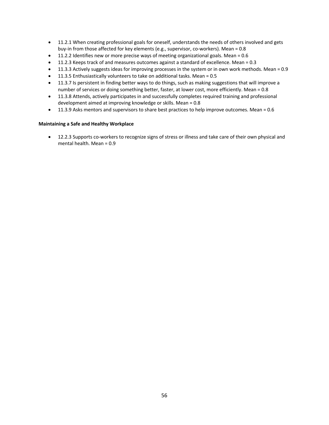- 11.2.1 When creating professional goals for oneself, understands the needs of others involved and gets buy-in from those affected for key elements (e.g., supervisor, co-workers). Mean = 0.8
- 11.2.2 Identifies new or more precise ways of meeting organizational goals. Mean = 0.6
- 11.2.3 Keeps track of and measures outcomes against a standard of excellence. Mean = 0.3
- 11.3.3 Actively suggests ideas for improving processes in the system or in own work methods. Mean = 0.9
- 11.3.5 Enthusiastically volunteers to take on additional tasks. Mean = 0.5
- 11.3.7 Is persistent in finding better ways to do things, such as making suggestions that will improve a number of services or doing something better, faster, at lower cost, more efficiently. Mean = 0.8
- 11.3.8 Attends, actively participates in and successfully completes required training and professional development aimed at improving knowledge or skills. Mean = 0.8
- 11.3.9 Asks mentors and supervisors to share best practices to help improve outcomes. Mean = 0.6

#### **Maintaining a Safe and Healthy Workplace**

• 12.2.3 Supports co-workers to recognize signs of stress or illness and take care of their own physical and mental health. Mean = 0.9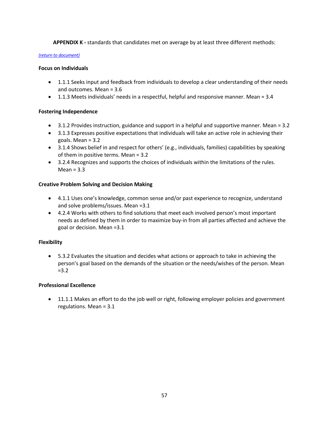**APPENDIX K -** standards that candidates met on average by at least three different methods:

#### *(return to document)*

## **Focus on Individuals**

- 1.1.1 Seeks input and feedback from individuals to develop a clear understanding of their needs and outcomes. Mean = 3.6
- 1.1.3 Meets individuals' needs in a respectful, helpful and responsive manner. Mean = 3.4

## **Fostering Independence**

- 3.1.2 Provides instruction, guidance and support in a helpful and supportive manner. Mean = 3.2
- 3.1.3 Expresses positive expectations that individuals will take an active role in achieving their goals. Mean = 3.2
- 3.1.4 Shows belief in and respect for others' (e.g., individuals, families) capabilities by speaking of them in positive terms. Mean = 3.2
- 3.2.4 Recognizes and supports the choices of individuals within the limitations of the rules.  $Mean = 3.3$

## **Creative Problem Solving and Decision Making**

- 4.1.1 Uses one's knowledge, common sense and/or past experience to recognize, understand and solve problems/issues. Mean =3.1
- 4.2.4 Works with others to find solutions that meet each involved person's most important needs as defined by them in order to maximize buy-in from all parties affected and achieve the goal or decision. Mean =3.1

## **Flexibility**

• 5.3.2 Evaluates the situation and decides what actions or approach to take in achieving the person's goal based on the demands of the situation or the needs/wishes of the person. Mean  $= 3.2$ 

## **Professional Excellence**

• 11.1.1 Makes an effort to do the job well or right, following employer policies and government regulations. Mean = 3.1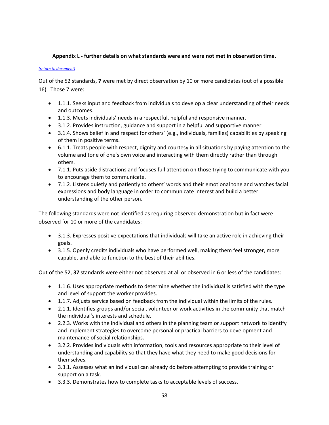## **Appendix L - further details on what standards were and were not met in observation time.**

#### *(return to document)*

Out of the 52 standards, **7** were met by direct observation by 10 or more candidates (out of a possible 16). Those 7 were:

- 1.1.1. Seeks input and feedback from individuals to develop a clear understanding of their needs and outcomes.
- 1.1.3. Meets individuals' needs in a respectful, helpful and responsive manner.
- 3.1.2. Provides instruction, guidance and support in a helpful and supportive manner.
- 3.1.4. Shows belief in and respect for others' (e.g., individuals, families) capabilities by speaking of them in positive terms.
- 6.1.1. Treats people with respect, dignity and courtesy in all situations by paying attention to the volume and tone of one's own voice and interacting with them directly rather than through others.
- 7.1.1. Puts aside distractions and focuses full attention on those trying to communicate with you to encourage them to communicate.
- 7.1.2. Listens quietly and patiently to others' words and their emotional tone and watches facial expressions and body language in order to communicate interest and build a better understanding of the other person.

The following standards were not identified as requiring observed demonstration but in fact were observed for 10 or more of the candidates:

- 3.1.3. Expresses positive expectations that individuals will take an active role in achieving their goals.
- 3.1.5. Openly credits individuals who have performed well, making them feel stronger, more capable, and able to function to the best of their abilities.

Out of the 52, **37** standards were either not observed at all or observed in 6 or less of the candidates:

- 1.1.6. Uses appropriate methods to determine whether the individual is satisfied with the type and level of support the worker provides.
- 1.1.7. Adjusts service based on feedback from the individual within the limits of the rules.
- 2.1.1. Identifies groups and/or social, volunteer or work activities in the community that match the individual's interests and schedule.
- 2.2.3. Works with the individual and others in the planning team or support network to identify and implement strategies to overcome personal or practical barriers to development and maintenance of social relationships.
- 3.2.2. Provides individuals with information, tools and resources appropriate to their level of understanding and capability so that they have what they need to make good decisions for themselves.
- 3.3.1. Assesses what an individual can already do before attempting to provide training or support on a task.
- 3.3.3. Demonstrates how to complete tasks to acceptable levels of success.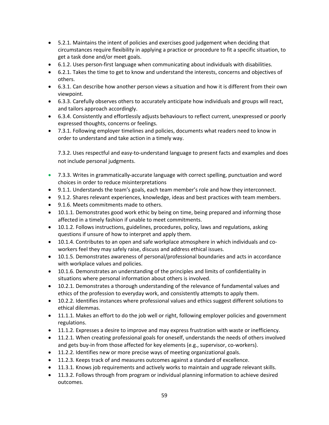- 5.2.1. Maintains the intent of policies and exercises good judgement when deciding that circumstances require flexibility in applying a practice or procedure to fit a specific situation, to get a task done and/or meet goals.
- 6.1.2. Uses person-first language when communicating about individuals with disabilities.
- 6.2.1. Takes the time to get to know and understand the interests, concerns and objectives of others.
- 6.3.1. Can describe how another person views a situation and how it is different from their own viewpoint.
- 6.3.3. Carefully observes others to accurately anticipate how individuals and groups will react, and tailors approach accordingly.
- 6.3.4. Consistently and effortlessly adjusts behaviours to reflect current, unexpressed or poorly expressed thoughts, concerns or feelings.
- 7.3.1. Following employer timelines and policies, documents what readers need to know in order to understand and take action in a timely way.

7.3.2. Uses respectful and easy-to-understand language to present facts and examples and does not include personal judgments.

- 7.3.3. Writes in grammatically-accurate language with correct spelling, punctuation and word choices in order to reduce misinterpretations
- 9.1.1. Understands the team's goals, each team member's role and how they interconnect.
- 9.1.2. Shares relevant experiences, knowledge, ideas and best practices with team members.
- 9.1.6. Meets commitments made to others.
- 10.1.1. Demonstrates good work ethic by being on time, being prepared and informing those affected in a timely fashion if unable to meet commitments.
- 10.1.2. Follows instructions, guidelines, procedures, policy, laws and regulations, asking questions if unsure of how to interpret and apply them.
- 10.1.4. Contributes to an open and safe workplace atmosphere in which individuals and coworkers feel they may safely raise, discuss and address ethical issues.
- 10.1.5. Demonstrates awareness of personal/professional boundaries and acts in accordance with workplace values and policies.
- 10.1.6. Demonstrates an understanding of the principles and limits of confidentiality in situations where personal information about others is involved.
- 10.2.1. Demonstrates a thorough understanding of the relevance of fundamental values and ethics of the profession to everyday work, and consistently attempts to apply them.
- 10.2.2. Identifies instances where professional values and ethics suggest different solutions to ethical dilemmas.
- 11.1.1. Makes an effort to do the job well or right, following employer policies and government regulations.
- 11.1.2. Expresses a desire to improve and may express frustration with waste or inefficiency.
- 11.2.1. When creating professional goals for oneself, understands the needs of others involved and gets buy-in from those affected for key elements (e.g., supervisor, co-workers).
- 11.2.2. Identifies new or more precise ways of meeting organizational goals.
- 11.2.3. Keeps track of and measures outcomes against a standard of excellence.
- 11.3.1. Knows job requirements and actively works to maintain and upgrade relevant skills.
- 11.3.2. Follows through from program or individual planning information to achieve desired outcomes.